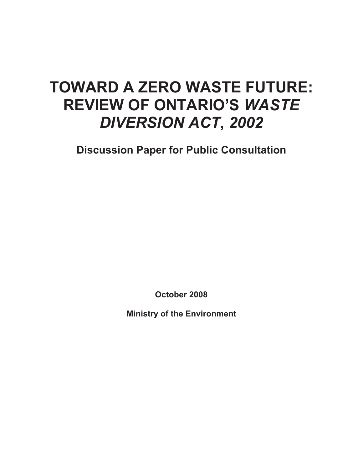### **TOWARD A ZERO WASTE FUTURE: REVIEW OF ONTARIO'S** *WASTE DIVERSION ACT***,** *2002*

**Discussion Paper for Public Consultation** 

**October 2008** 

**Ministry of the Environment**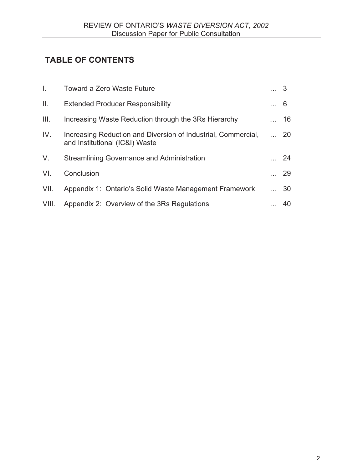### **TABLE OF CONTENTS**

| $\mathbf{L}$ | <b>Toward a Zero Waste Future</b>                                                               | $\dots$ 3 |             |
|--------------|-------------------------------------------------------------------------------------------------|-----------|-------------|
| Ш.           | <b>Extended Producer Responsibility</b>                                                         | $\dots 6$ |             |
| III.         | Increasing Waste Reduction through the 3Rs Hierarchy                                            |           | $\ldots$ 16 |
| IV.          | Increasing Reduction and Diversion of Industrial, Commercial,<br>and Institutional (IC&I) Waste |           | $\ldots$ 20 |
| V.           | Streamlining Governance and Administration                                                      |           | 24          |
| VI.          | Conclusion                                                                                      |           | $\ldots$ 29 |
| VII.         | Appendix 1: Ontario's Solid Waste Management Framework                                          |           | $\ldots$ 30 |
| VIII.        | Appendix 2: Overview of the 3Rs Regulations                                                     |           | 40          |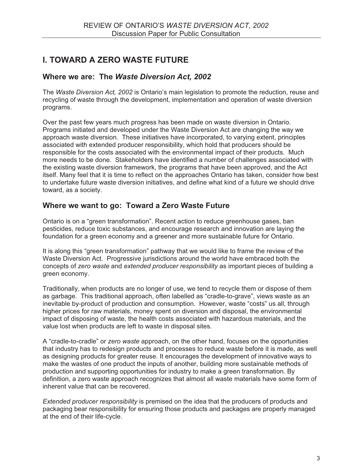### **I. TOWARD A ZERO WASTE FUTURE**

### **Where we are: The** *Waste Diversion Act, 2002*

The *Waste Diversion Act, 2002* is Ontario's main legislation to promote the reduction, reuse and recycling of waste through the development, implementation and operation of waste diversion programs.

Over the past few years much progress has been made on waste diversion in Ontario. Programs initiated and developed under the Waste Diversion Act are changing the way we approach waste diversion. These initiatives have incorporated, to varying extent, principles associated with extended producer responsibility, which hold that producers should be responsible for the costs associated with the environmental impact of their products. Much more needs to be done. Stakeholders have identified a number of challenges associated with the existing waste diversion framework, the programs that have been approved, and the Act itself. Many feel that it is time to reflect on the approaches Ontario has taken, consider how best to undertake future waste diversion initiatives, and define what kind of a future we should drive toward, as a society.

### **Where we want to go: Toward a Zero Waste Future**

Ontario is on a "green transformation". Recent action to reduce greenhouse gases, ban pesticides, reduce toxic substances, and encourage research and innovation are laying the foundation for a green economy and a greener and more sustainable future for Ontario.

It is along this "green transformation" pathway that we would like to frame the review of the Waste Diversion Act. Progressive jurisdictions around the world have embraced both the concepts of *zero waste* and *extended producer responsibility* as important pieces of building a green economy.

Traditionally, when products are no longer of use, we tend to recycle them or dispose of them as garbage. This traditional approach, often labelled as "cradle-to-grave", views waste as an inevitable by-product of production and consumption. However, waste "costs" us all, through higher prices for raw materials, money spent on diversion and disposal, the environmental impact of disposing of waste, the health costs associated with hazardous materials, and the value lost when products are left to waste in disposal sites.

A "cradle-to-cradle" or *zero waste* approach, on the other hand, focuses on the opportunities that industry has to redesign products and processes to reduce waste before it is made, as well as designing products for greater reuse. It encourages the development of innovative ways to make the wastes of one product the inputs of another, building more sustainable methods of production and supporting opportunities for industry to make a green transformation. By definition, a zero waste approach recognizes that almost all waste materials have some form of inherent value that can be recovered.

*Extended producer responsibility* is premised on the idea that the producers of products and packaging bear responsibility for ensuring those products and packages are properly managed at the end of their life-cycle.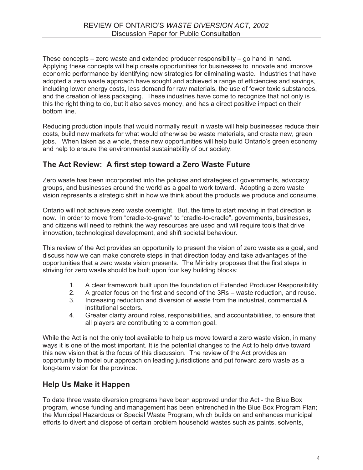These concepts – zero waste and extended producer responsibility – go hand in hand. Applying these concepts will help create opportunities for businesses to innovate and improve economic performance by identifying new strategies for eliminating waste. Industries that have adopted a zero waste approach have sought and achieved a range of efficiencies and savings, including lower energy costs, less demand for raw materials, the use of fewer toxic substances, and the creation of less packaging. These industries have come to recognize that not only is this the right thing to do, but it also saves money, and has a direct positive impact on their bottom line.

Reducing production inputs that would normally result in waste will help businesses reduce their costs, build new markets for what would otherwise be waste materials, and create new, green jobs. When taken as a whole, these new opportunities will help build Ontario's green economy and help to ensure the environmental sustainability of our society.

### **The Act Review: A first step toward a Zero Waste Future**

Zero waste has been incorporated into the policies and strategies of governments, advocacy groups, and businesses around the world as a goal to work toward. Adopting a zero waste vision represents a strategic shift in how we think about the products we produce and consume.

Ontario will not achieve zero waste overnight. But, the time to start moving in that direction is now. In order to move from "cradle-to-grave" to "cradle-to-cradle", governments, businesses, and citizens will need to rethink the way resources are used and will require tools that drive innovation, technological development, and shift societal behaviour.

This review of the Act provides an opportunity to present the vision of zero waste as a goal, and discuss how we can make concrete steps in that direction today and take advantages of the opportunities that a zero waste vision presents. The Ministry proposes that the first steps in striving for zero waste should be built upon four key building blocks:

- 1. A clear framework built upon the foundation of Extended Producer Responsibility.
- 2. A greater focus on the first and second of the 3Rs waste reduction, and reuse.
- 3. Increasing reduction and diversion of waste from the industrial, commercial & institutional sectors.
- 4. Greater clarity around roles, responsibilities, and accountabilities, to ensure that all players are contributing to a common goal.

While the Act is not the only tool available to help us move toward a zero waste vision, in many ways it is one of the most important. It is the potential changes to the Act to help drive toward this new vision that is the focus of this discussion. The review of the Act provides an opportunity to model our approach on leading jurisdictions and put forward zero waste as a long-term vision for the province.

### **Help Us Make it Happen**

To date three waste diversion programs have been approved under the Act - the Blue Box program, whose funding and management has been entrenched in the Blue Box Program Plan; the Municipal Hazardous or Special Waste Program, which builds on and enhances municipal efforts to divert and dispose of certain problem household wastes such as paints, solvents,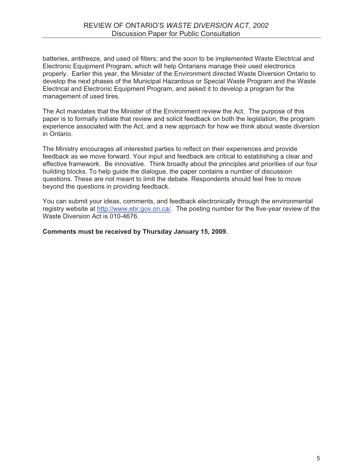batteries, antifreeze, and used oil filters; and the soon to be implemented Waste Electrical and Electronic Equipment Program, which will help Ontarians manage their used electronics properly. Earlier this year, the Minister of the Environment directed Waste Diversion Ontario to develop the next phases of the Municipal Hazardous or Special Waste Program and the Waste Electrical and Electronic Equipment Program, and asked it to develop a program for the management of used tires.

The Act mandates that the Minister of the Environment review the Act. The purpose of this paper is to formally initiate that review and solicit feedback on both the legislation, the program experience associated with the Act, and a new approach for how we think about waste diversion in Ontario.

The Ministry encourages all interested parties to reflect on their experiences and provide feedback as we move forward. Your input and feedback are critical to establishing a clear and effective framework. Be innovative. Think broadly about the principles and priorities of our four building blocks. To help guide the dialogue, the paper contains a number of discussion questions. These are not meant to limit the debate. Respondents should feel free to move beyond the questions in providing feedback.

You can submit your ideas, comments, and feedback electronically through the environmental registry website at http://www.ebr.gov.on.ca/. The posting number for the five-year review of the Waste Diversion Act is 010-4676.

### **Comments must be received by Thursday January 15, 2009.**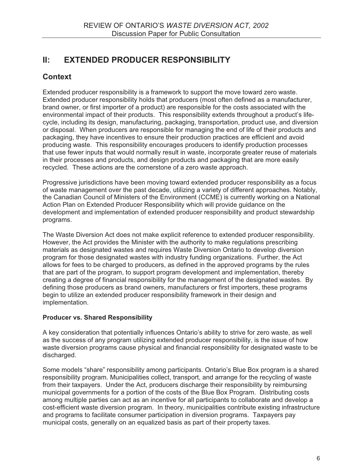### **II: EXTENDED PRODUCER RESPONSIBILITY**

### **Context**

Extended producer responsibility is a framework to support the move toward zero waste. Extended producer responsibility holds that producers (most often defined as a manufacturer, brand owner, or first importer of a product) are responsible for the costs associated with the environmental impact of their products. This responsibility extends throughout a product's lifecycle, including its design, manufacturing, packaging, transportation, product use, and diversion or disposal. When producers are responsible for managing the end of life of their products and packaging, they have incentives to ensure their production practices are efficient and avoid producing waste. This responsibility encourages producers to identify production processes that use fewer inputs that would normally result in waste, incorporate greater reuse of materials in their processes and products, and design products and packaging that are more easily recycled. These actions are the cornerstone of a zero waste approach.

Progressive jurisdictions have been moving toward extended producer responsibility as a focus of waste management over the past decade, utilizing a variety of different approaches. Notably, the Canadian Council of Ministers of the Environment (CCME) is currently working on a National Action Plan on Extended Producer Responsibility which will provide guidance on the development and implementation of extended producer responsibility and product stewardship programs.

The Waste Diversion Act does not make explicit reference to extended producer responsibility. However, the Act provides the Minister with the authority to make regulations prescribing materials as designated wastes and requires Waste Diversion Ontario to develop diversion program for those designated wastes with industry funding organizations. Further, the Act allows for fees to be charged to producers, as defined in the approved programs by the rules that are part of the program, to support program development and implementation, thereby creating a degree of financial responsibility for the management of the designated wastes. By defining those producers as brand owners, manufacturers or first importers, these programs begin to utilize an extended producer responsibility framework in their design and implementation.

### **Producer vs. Shared Responsibility**

A key consideration that potentially influences Ontario's ability to strive for zero waste, as well as the success of any program utilizing extended producer responsibility, is the issue of how waste diversion programs cause physical and financial responsibility for designated waste to be discharged.

Some models "share" responsibility among participants. Ontario's Blue Box program is a shared responsibility program. Municipalities collect, transport, and arrange for the recycling of waste from their taxpayers. Under the Act, producers discharge their responsibility by reimbursing municipal governments for a portion of the costs of the Blue Box Program. Distributing costs among multiple parties can act as an incentive for all participants to collaborate and develop a cost-efficient waste diversion program. In theory, municipalities contribute existing infrastructure and programs to facilitate consumer participation in diversion programs. Taxpayers pay municipal costs, generally on an equalized basis as part of their property taxes.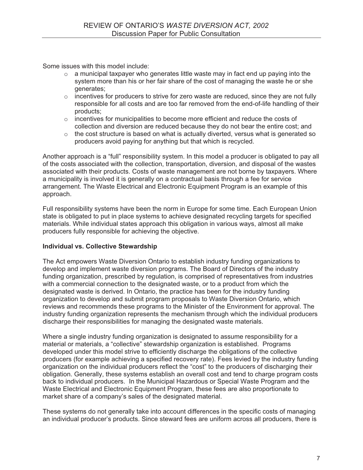Some issues with this model include:

- $\circ$  a municipal taxpayer who generates little waste may in fact end up paying into the system more than his or her fair share of the cost of managing the waste he or she generates;
- o incentives for producers to strive for zero waste are reduced, since they are not fully responsible for all costs and are too far removed from the end-of-life handling of their products;
- $\circ$  incentives for municipalities to become more efficient and reduce the costs of collection and diversion are reduced because they do not bear the entire cost; and
- $\circ$  the cost structure is based on what is actually diverted, versus what is generated so producers avoid paying for anything but that which is recycled.

Another approach is a "full" responsibility system. In this model a producer is obligated to pay all of the costs associated with the collection, transportation, diversion, and disposal of the wastes associated with their products. Costs of waste management are not borne by taxpayers. Where a municipality is involved it is generally on a contractual basis through a fee for service arrangement. The Waste Electrical and Electronic Equipment Program is an example of this approach.

Full responsibility systems have been the norm in Europe for some time. Each European Union state is obligated to put in place systems to achieve designated recycling targets for specified materials. While individual states approach this obligation in various ways, almost all make producers fully responsible for achieving the objective.

### **Individual vs. Collective Stewardship**

The Act empowers Waste Diversion Ontario to establish industry funding organizations to develop and implement waste diversion programs. The Board of Directors of the industry funding organization, prescribed by regulation, is comprised of representatives from industries with a commercial connection to the designated waste, or to a product from which the designated waste is derived. In Ontario, the practice has been for the industry funding organization to develop and submit program proposals to Waste Diversion Ontario, which reviews and recommends these programs to the Minister of the Environment for approval. The industry funding organization represents the mechanism through which the individual producers discharge their responsibilities for managing the designated waste materials.

Where a single industry funding organization is designated to assume responsibility for a material or materials, a "collective" stewardship organization is established. Programs developed under this model strive to efficiently discharge the obligations of the collective producers (for example achieving a specified recovery rate). Fees levied by the industry funding organization on the individual producers reflect the "cost" to the producers of discharging their obligation. Generally, these systems establish an overall cost and tend to charge program costs back to individual producers. In the Municipal Hazardous or Special Waste Program and the Waste Electrical and Electronic Equipment Program, these fees are also proportionate to market share of a company's sales of the designated material.

These systems do not generally take into account differences in the specific costs of managing an individual producer's products. Since steward fees are uniform across all producers, there is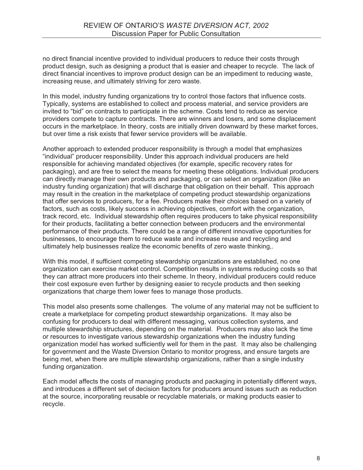no direct financial incentive provided to individual producers to reduce their costs through product design, such as designing a product that is easier and cheaper to recycle. The lack of direct financial incentives to improve product design can be an impediment to reducing waste, increasing reuse, and ultimately striving for zero waste.

In this model, industry funding organizations try to control those factors that influence costs. Typically, systems are established to collect and process material, and service providers are invited to "bid" on contracts to participate in the scheme. Costs tend to reduce as service providers compete to capture contracts. There are winners and losers, and some displacement occurs in the marketplace. In theory, costs are initially driven downward by these market forces, but over time a risk exists that fewer service providers will be available.

Another approach to extended producer responsibility is through a model that emphasizes "individual" producer responsibility. Under this approach individual producers are held responsible for achieving mandated objectives (for example, specific recovery rates for packaging), and are free to select the means for meeting these obligations. Individual producers can directly manage their own products and packaging, or can select an organization (like an industry funding organization) that will discharge that obligation on their behalf. This approach may result in the creation in the marketplace of competing product stewardship organizations that offer services to producers, for a fee. Producers make their choices based on a variety of factors, such as costs, likely success in achieving objectives, comfort with the organization, track record, etc. Individual stewardship often requires producers to take physical responsibility for their products, facilitating a better connection between producers and the environmental performance of their products. There could be a range of different innovative opportunities for businesses, to encourage them to reduce waste and increase reuse and recycling and ultimately help businesses realize the economic benefits of zero waste thinking,.

With this model, if sufficient competing stewardship organizations are established, no one organization can exercise market control. Competition results in systems reducing costs so that they can attract more producers into their scheme. In theory, individual producers could reduce their cost exposure even further by designing easier to recycle products and then seeking organizations that charge them lower fees to manage those products.

This model also presents some challenges. The volume of any material may not be sufficient to create a marketplace for competing product stewardship organizations. It may also be confusing for producers to deal with different messaging, various collection systems, and multiple stewardship structures, depending on the material. Producers may also lack the time or resources to investigate various stewardship organizations when the industry funding organization model has worked sufficiently well for them in the past. It may also be challenging for government and the Waste Diversion Ontario to monitor progress, and ensure targets are being met, when there are multiple stewardship organizations, rather than a single industry funding organization.

Each model affects the costs of managing products and packaging in potentially different ways, and introduces a different set of decision factors for producers around issues such as reduction at the source, incorporating reusable or recyclable materials, or making products easier to recycle.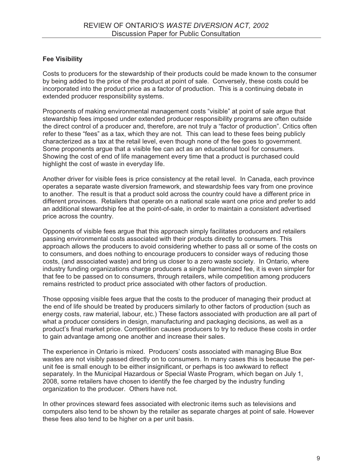### **Fee Visibility**

Costs to producers for the stewardship of their products could be made known to the consumer by being added to the price of the product at point of sale. Conversely, these costs could be incorporated into the product price as a factor of production. This is a continuing debate in extended producer responsibility systems.

Proponents of making environmental management costs "visible" at point of sale argue that stewardship fees imposed under extended producer responsibility programs are often outside the direct control of a producer and, therefore, are not truly a "factor of production". Critics often refer to these "fees" as a tax, which they are not. This can lead to these fees being publicly characterized as a tax at the retail level, even though none of the fee goes to government. Some proponents argue that a visible fee can act as an educational tool for consumers. Showing the cost of end of life management every time that a product is purchased could highlight the cost of waste in everyday life.

Another driver for visible fees is price consistency at the retail level. In Canada, each province operates a separate waste diversion framework, and stewardship fees vary from one province to another. The result is that a product sold across the country could have a different price in different provinces. Retailers that operate on a national scale want one price and prefer to add an additional stewardship fee at the point-of-sale, in order to maintain a consistent advertised price across the country.

Opponents of visible fees argue that this approach simply facilitates producers and retailers passing environmental costs associated with their products directly to consumers. This approach allows the producers to avoid considering whether to pass all or some of the costs on to consumers, and does nothing to encourage producers to consider ways of reducing those costs, (and associated waste) and bring us closer to a zero waste society. In Ontario, where industry funding organizations charge producers a single harmonized fee, it is even simpler for that fee to be passed on to consumers, through retailers, while competition among producers remains restricted to product price associated with other factors of production.

Those opposing visible fees argue that the costs to the producer of managing their product at the end of life should be treated by producers similarly to other factors of production (such as energy costs, raw material, labour, etc.) These factors associated with production are all part of what a producer considers in design, manufacturing and packaging decisions, as well as a product's final market price. Competition causes producers to try to reduce these costs in order to gain advantage among one another and increase their sales.

The experience in Ontario is mixed. Producers' costs associated with managing Blue Box wastes are not visibly passed directly on to consumers. In many cases this is because the perunit fee is small enough to be either insignificant, or perhaps is too awkward to reflect separately. In the Municipal Hazardous or Special Waste Program, which began on July 1, 2008, some retailers have chosen to identify the fee charged by the industry funding organization to the producer. Others have not.

In other provinces steward fees associated with electronic items such as televisions and computers also tend to be shown by the retailer as separate charges at point of sale. However these fees also tend to be higher on a per unit basis.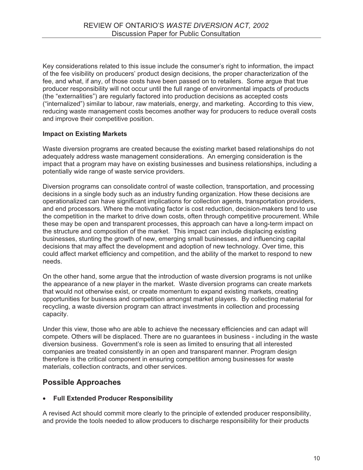Key considerations related to this issue include the consumer's right to information, the impact of the fee visibility on producers' product design decisions, the proper characterization of the fee, and what, if any, of those costs have been passed on to retailers. Some argue that true producer responsibility will not occur until the full range of environmental impacts of products (the "externalities") are regularly factored into production decisions as accepted costs ("internalized") similar to labour, raw materials, energy, and marketing. According to this view, reducing waste management costs becomes another way for producers to reduce overall costs and improve their competitive position.

### **Impact on Existing Markets**

Waste diversion programs are created because the existing market based relationships do not adequately address waste management considerations. An emerging consideration is the impact that a program may have on existing businesses and business relationships, including a potentially wide range of waste service providers.

Diversion programs can consolidate control of waste collection, transportation, and processing decisions in a single body such as an industry funding organization. How these decisions are operationalized can have significant implications for collection agents, transportation providers, and end processors. Where the motivating factor is cost reduction, decision-makers tend to use the competition in the market to drive down costs, often through competitive procurement. While these may be open and transparent processes, this approach can have a long-term impact on the structure and composition of the market. This impact can include displacing existing businesses, stunting the growth of new, emerging small businesses, and influencing capital decisions that may affect the development and adoption of new technology. Over time, this could affect market efficiency and competition, and the ability of the market to respond to new needs.

On the other hand, some argue that the introduction of waste diversion programs is not unlike the appearance of a new player in the market. Waste diversion programs can create markets that would not otherwise exist, or create momentum to expand existing markets, creating opportunities for business and competition amongst market players. By collecting material for recycling, a waste diversion program can attract investments in collection and processing capacity.

Under this view, those who are able to achieve the necessary efficiencies and can adapt will compete. Others will be displaced. There are no guarantees in business - including in the waste diversion business. Government's role is seen as limited to ensuring that all interested companies are treated consistently in an open and transparent manner. Program design therefore is the critical component in ensuring competition among businesses for waste materials, collection contracts, and other services.

### **Possible Approaches**

### - **Full Extended Producer Responsibility**

A revised Act should commit more clearly to the principle of extended producer responsibility, and provide the tools needed to allow producers to discharge responsibility for their products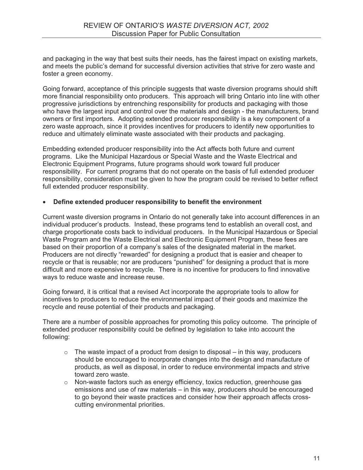and packaging in the way that best suits their needs, has the fairest impact on existing markets, and meets the public's demand for successful diversion activities that strive for zero waste and foster a green economy.

Going forward, acceptance of this principle suggests that waste diversion programs should shift more financial responsibility onto producers. This approach will bring Ontario into line with other progressive jurisdictions by entrenching responsibility for products and packaging with those who have the largest input and control over the materials and design - the manufacturers, brand owners or first importers. Adopting extended producer responsibility is a key component of a zero waste approach, since it provides incentives for producers to identify new opportunities to reduce and ultimately eliminate waste associated with their products and packaging.

Embedding extended producer responsibility into the Act affects both future and current programs. Like the Municipal Hazardous or Special Waste and the Waste Electrical and Electronic Equipment Programs, future programs should work toward full producer responsibility. For current programs that do not operate on the basis of full extended producer responsibility, consideration must be given to how the program could be revised to better reflect full extended producer responsibility.

### -**Define extended producer responsibility to benefit the environment**

Current waste diversion programs in Ontario do not generally take into account differences in an individual producer's products. Instead, these programs tend to establish an overall cost, and charge proportionate costs back to individual producers. In the Municipal Hazardous or Special Waste Program and the Waste Electrical and Electronic Equipment Program, these fees are based on their proportion of a company's sales of the designated material in the market. Producers are not directly "rewarded" for designing a product that is easier and cheaper to recycle or that is reusable; nor are producers "punished" for designing a product that is more difficult and more expensive to recycle. There is no incentive for producers to find innovative ways to reduce waste and increase reuse.

Going forward, it is critical that a revised Act incorporate the appropriate tools to allow for incentives to producers to reduce the environmental impact of their goods and maximize the recycle and reuse potential of their products and packaging.

There are a number of possible approaches for promoting this policy outcome. The principle of extended producer responsibility could be defined by legislation to take into account the following:

- $\circ$  The waste impact of a product from design to disposal in this way, producers should be encouraged to incorporate changes into the design and manufacture of products, as well as disposal, in order to reduce environmental impacts and strive toward zero waste.
- $\circ$  Non-waste factors such as energy efficiency, toxics reduction, greenhouse gas emissions and use of raw materials – in this way, producers should be encouraged to go beyond their waste practices and consider how their approach affects crosscutting environmental priorities.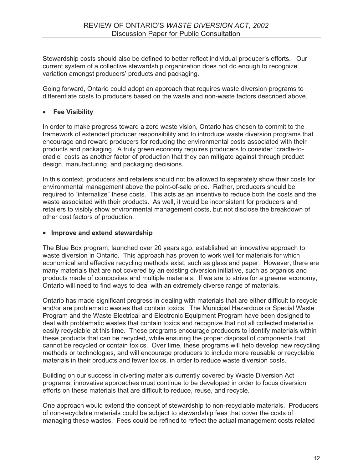Stewardship costs should also be defined to better reflect individual producer's efforts. Our current system of a collective stewardship organization does not do enough to recognize variation amongst producers' products and packaging.

Going forward, Ontario could adopt an approach that requires waste diversion programs to differentiate costs to producers based on the waste and non-waste factors described above.

### - **Fee Visibility**

In order to make progress toward a zero waste vision, Ontario has chosen to commit to the framework of extended producer responsibility and to introduce waste diversion programs that encourage and reward producers for reducing the environmental costs associated with their products and packaging. A truly green economy requires producers to consider "cradle-tocradle" costs as another factor of production that they can mitigate against through product design, manufacturing, and packaging decisions.

In this context, producers and retailers should not be allowed to separately show their costs for environmental management above the point-of-sale price. Rather, producers should be required to "internalize" these costs. This acts as an incentive to reduce both the costs and the waste associated with their products. As well, it would be inconsistent for producers and retailers to visibly show environmental management costs, but not disclose the breakdown of other cost factors of production.

### - **Improve and extend stewardship**

The Blue Box program, launched over 20 years ago, established an innovative approach to waste diversion in Ontario. This approach has proven to work well for materials for which economical and effective recycling methods exist, such as glass and paper. However, there are many materials that are not covered by an existing diversion initiative, such as organics and products made of composites and multiple materials. If we are to strive for a greener economy, Ontario will need to find ways to deal with an extremely diverse range of materials.

Ontario has made significant progress in dealing with materials that are either difficult to recycle and/or are problematic wastes that contain toxics. The Municipal Hazardous or Special Waste Program and the Waste Electrical and Electronic Equipment Program have been designed to deal with problematic wastes that contain toxics and recognize that not all collected material is easily recyclable at this time. These programs encourage producers to identify materials within these products that can be recycled, while ensuring the proper disposal of components that cannot be recycled or contain toxics. Over time, these programs will help develop new recycling methods or technologies, and will encourage producers to include more reusable or recyclable materials in their products and fewer toxics, in order to reduce waste diversion costs.

Building on our success in diverting materials currently covered by Waste Diversion Act programs, innovative approaches must continue to be developed in order to focus diversion efforts on these materials that are difficult to reduce, reuse, and recycle.

One approach would extend the concept of stewardship to non-recyclable materials. Producers of non-recyclable materials could be subject to stewardship fees that cover the costs of managing these wastes. Fees could be refined to reflect the actual management costs related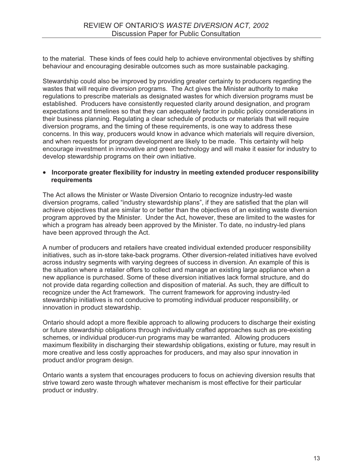to the material. These kinds of fees could help to achieve environmental objectives by shifting behaviour and encouraging desirable outcomes such as more sustainable packaging.

Stewardship could also be improved by providing greater certainty to producers regarding the wastes that will require diversion programs. The Act gives the Minister authority to make regulations to prescribe materials as designated wastes for which diversion programs must be established. Producers have consistently requested clarity around designation, and program expectations and timelines so that they can adequately factor in public policy considerations in their business planning. Regulating a clear schedule of products or materials that will require diversion programs, and the timing of these requirements, is one way to address these concerns. In this way, producers would know in advance which materials will require diversion, and when requests for program development are likely to be made. This certainty will help encourage investment in innovative and green technology and will make it easier for industry to develop stewardship programs on their own initiative.

### - **Incorporate greater flexibility for industry in meeting extended producer responsibility requirements**

The Act allows the Minister or Waste Diversion Ontario to recognize industry-led waste diversion programs, called "industry stewardship plans", if they are satisfied that the plan will achieve objectives that are similar to or better than the objectives of an existing waste diversion program approved by the Minister. Under the Act, however, these are limited to the wastes for which a program has already been approved by the Minister. To date, no industry-led plans have been approved through the Act.

A number of producers and retailers have created individual extended producer responsibility initiatives, such as in-store take-back programs. Other diversion-related initiatives have evolved across industry segments with varying degrees of success in diversion. An example of this is the situation where a retailer offers to collect and manage an existing large appliance when a new appliance is purchased. Some of these diversion initiatives lack formal structure, and do not provide data regarding collection and disposition of material. As such, they are difficult to recognize under the Act framework. The current framework for approving industry-led stewardship initiatives is not conducive to promoting individual producer responsibility, or innovation in product stewardship.

Ontario should adopt a more flexible approach to allowing producers to discharge their existing or future stewardship obligations through individually crafted approaches such as pre-existing schemes, or individual producer-run programs may be warranted. Allowing producers maximum flexibility in discharging their stewardship obligations, existing or future, may result in more creative and less costly approaches for producers, and may also spur innovation in product and/or program design.

Ontario wants a system that encourages producers to focus on achieving diversion results that strive toward zero waste through whatever mechanism is most effective for their particular product or industry.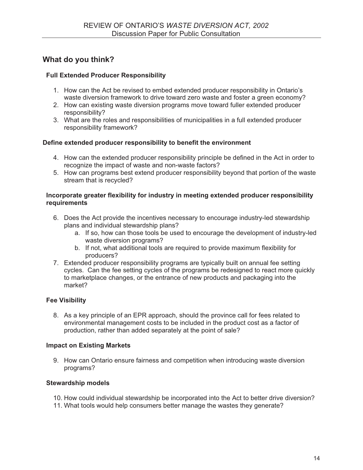### **What do you think?**

### **Full Extended Producer Responsibility**

- 1. How can the Act be revised to embed extended producer responsibility in Ontario's waste diversion framework to drive toward zero waste and foster a green economy?
- 2. How can existing waste diversion programs move toward fuller extended producer responsibility?
- 3. What are the roles and responsibilities of municipalities in a full extended producer responsibility framework?

### **Define extended producer responsibility to benefit the environment**

- 4. How can the extended producer responsibility principle be defined in the Act in order to recognize the impact of waste and non-waste factors?
- 5. How can programs best extend producer responsibility beyond that portion of the waste stream that is recycled?

### **Incorporate greater flexibility for industry in meeting extended producer responsibility requirements**

- 6. Does the Act provide the incentives necessary to encourage industry-led stewardship plans and individual stewardship plans?
	- a. If so, how can those tools be used to encourage the development of industry-led waste diversion programs?
	- b. If not, what additional tools are required to provide maximum flexibility for producers?
- 7. Extended producer responsibility programs are typically built on annual fee setting cycles. Can the fee setting cycles of the programs be redesigned to react more quickly to marketplace changes, or the entrance of new products and packaging into the market?

### **Fee Visibility**

8. As a key principle of an EPR approach, should the province call for fees related to environmental management costs to be included in the product cost as a factor of production, rather than added separately at the point of sale?

### **Impact on Existing Markets**

9. How can Ontario ensure fairness and competition when introducing waste diversion programs?

### **Stewardship models**

- 10. How could individual stewardship be incorporated into the Act to better drive diversion?
- 11. What tools would help consumers better manage the wastes they generate?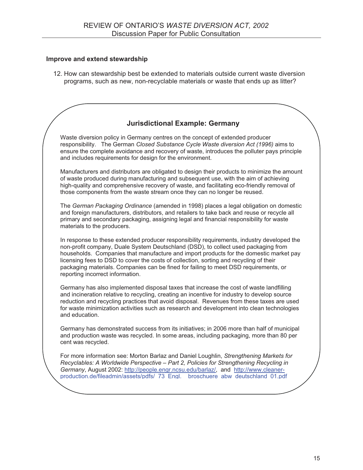### **Improve and extend stewardship**

12. How can stewardship best be extended to materials outside current waste diversion programs, such as new, non-recyclable materials or waste that ends up as litter?

### **Jurisdictional Example: Germany**

Waste diversion policy in Germany centres on the concept of extended producer responsibility. The German *Closed Substance Cycle Waste diversion Act (1996)* aims to ensure the complete avoidance and recovery of waste, introduces the polluter pays principle and includes requirements for design for the environment.

Manufacturers and distributors are obligated to design their products to minimize the amount of waste produced during manufacturing and subsequent use, with the aim of achieving high-quality and comprehensive recovery of waste, and facilitating eco-friendly removal of those components from the waste stream once they can no longer be reused.

The *German Packaging Ordinance* (amended in 1998) places a legal obligation on domestic and foreign manufacturers, distributors, and retailers to take back and reuse or recycle all primary and secondary packaging, assigning legal and financial responsibility for waste materials to the producers.

In response to these extended producer responsibility requirements, industry developed the non-profit company, Duale System Deutschland (DSD), to collect used packaging from households. Companies that manufacture and import products for the domestic market pay licensing fees to DSD to cover the costs of collection, sorting and recycling of their packaging materials. Companies can be fined for failing to meet DSD requirements, or reporting incorrect information.

Germany has also implemented disposal taxes that increase the cost of waste landfilling and incineration relative to recycling, creating an incentive for industry to develop source reduction and recycling practices that avoid disposal. Revenues from these taxes are used for waste minimization activities such as research and development into clean technologies and education.

Germany has demonstrated success from its initiatives; in 2006 more than half of municipal and production waste was recycled. In some areas, including packaging, more than 80 per cent was recycled.

For more information see: Morton Barlaz and Daniel Loughlin, *Strengthening Markets for Recyclables: A Worldwide Perspective – Part 2, Policies for Strengthening Recycling in Germany*, August 2002: http://people.engr.ncsu.edu/barlaz/, and http://www.cleanerproduction.de/fileadmin/assets/pdfs/ 73 Engl. broschuere abw deutschland 01.pdf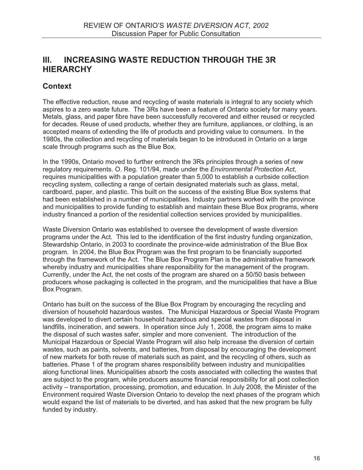### **III. INCREASING WASTE REDUCTION THROUGH THE 3R HIERARCHY**

### **Context**

The effective reduction, reuse and recycling of waste materials is integral to any society which aspires to a zero waste future. The 3Rs have been a feature of Ontario society for many years. Metals, glass, and paper fibre have been successfully recovered and either reused or recycled for decades. Reuse of used products, whether they are furniture, appliances, or clothing, is an accepted means of extending the life of products and providing value to consumers. In the 1980s, the collection and recycling of materials began to be introduced in Ontario on a large scale through programs such as the Blue Box.

In the 1990s, Ontario moved to further entrench the 3Rs principles through a series of new regulatory requirements. O. Reg. 101/94, made under the *Environmental Protection Act*, requires municipalities with a population greater than 5,000 to establish a curbside collection recycling system, collecting a range of certain designated materials such as glass, metal, cardboard, paper, and plastic. This built on the success of the existing Blue Box systems that had been established in a number of municipalities. Industry partners worked with the province and municipalities to provide funding to establish and maintain these Blue Box programs, where industry financed a portion of the residential collection services provided by municipalities.

Waste Diversion Ontario was established to oversee the development of waste diversion programs under the Act. This led to the identification of the first industry funding organization, Stewardship Ontario, in 2003 to coordinate the province-wide administration of the Blue Box program. In 2004, the Blue Box Program was the first program to be financially supported through the framework of the Act. The Blue Box Program Plan is the administrative framework whereby industry and municipalities share responsibility for the management of the program. Currently, under the Act, the net costs of the program are shared on a 50/50 basis between producers whose packaging is collected in the program, and the municipalities that have a Blue Box Program.

Ontario has built on the success of the Blue Box Program by encouraging the recycling and diversion of household hazardous wastes. The Municipal Hazardous or Special Waste Program was developed to divert certain household hazardous and special wastes from disposal in landfills, incineration, and sewers. In operation since July 1, 2008, the program aims to make the disposal of such wastes safer, simpler and more convenient. The introduction of the Municipal Hazardous or Special Waste Program will also help increase the diversion of certain wastes, such as paints, solvents, and batteries, from disposal by encouraging the development of new markets for both reuse of materials such as paint, and the recycling of others, such as batteries. Phase 1 of the program shares responsibility between industry and municipalities along functional lines. Municipalities absorb the costs associated with collecting the wastes that are subject to the program, while producers assume financial responsibility for all post collection activity – transportation, processing, promotion, and education. In July 2008, the Minister of the Environment required Waste Diversion Ontario to develop the next phases of the program which would expand the list of materials to be diverted, and has asked that the new program be fully funded by industry.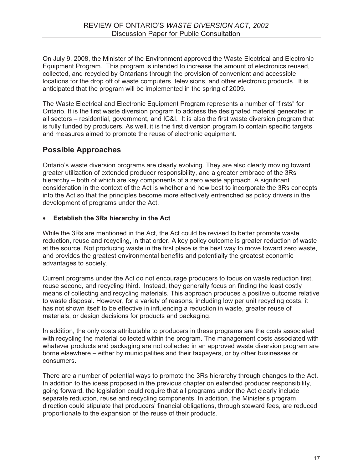On July 9, 2008, the Minister of the Environment approved the Waste Electrical and Electronic Equipment Program. This program is intended to increase the amount of electronics reused, collected, and recycled by Ontarians through the provision of convenient and accessible locations for the drop off of waste computers, televisions, and other electronic products. It is anticipated that the program will be implemented in the spring of 2009.

The Waste Electrical and Electronic Equipment Program represents a number of "firsts" for Ontario. It is the first waste diversion program to address the designated material generated in all sectors – residential, government, and IC&I. It is also the first waste diversion program that is fully funded by producers. As well, it is the first diversion program to contain specific targets and measures aimed to promote the reuse of electronic equipment.

### **Possible Approaches**

Ontario's waste diversion programs are clearly evolving. They are also clearly moving toward greater utilization of extended producer responsibility, and a greater embrace of the 3Rs hierarchy – both of which are key components of a zero waste approach. A significant consideration in the context of the Act is whether and how best to incorporate the 3Rs concepts into the Act so that the principles become more effectively entrenched as policy drivers in the development of programs under the Act.

### -**Establish the 3Rs hierarchy in the Act**

While the 3Rs are mentioned in the Act, the Act could be revised to better promote waste reduction, reuse and recycling, in that order. A key policy outcome is greater reduction of waste at the source. Not producing waste in the first place is the best way to move toward zero waste, and provides the greatest environmental benefits and potentially the greatest economic advantages to society.

Current programs under the Act do not encourage producers to focus on waste reduction first, reuse second, and recycling third. Instead, they generally focus on finding the least costly means of collecting and recycling materials. This approach produces a positive outcome relative to waste disposal. However, for a variety of reasons, including low per unit recycling costs, it has not shown itself to be effective in influencing a reduction in waste, greater reuse of materials, or design decisions for products and packaging.

In addition, the only costs attributable to producers in these programs are the costs associated with recycling the material collected within the program. The management costs associated with whatever products and packaging are not collected in an approved waste diversion program are borne elsewhere – either by municipalities and their taxpayers, or by other businesses or consumers.

There are a number of potential ways to promote the 3Rs hierarchy through changes to the Act. In addition to the ideas proposed in the previous chapter on extended producer responsibility, going forward, the legislation could require that all programs under the Act clearly include separate reduction, reuse and recycling components. In addition, the Minister's program direction could stipulate that producers' financial obligations, through steward fees, are reduced proportionate to the expansion of the reuse of their products.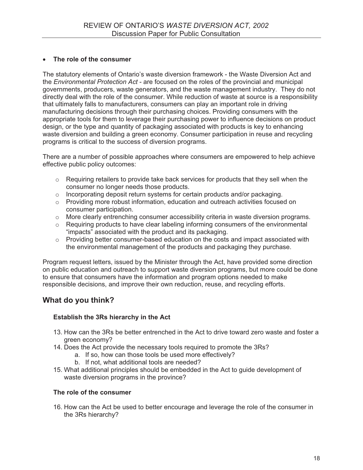### - **The role of the consumer**

The statutory elements of Ontario's waste diversion framework - the Waste Diversion Act and the *Environmental Protection Act* - are focused on the roles of the provincial and municipal governments, producers, waste generators, and the waste management industry. They do not directly deal with the role of the consumer. While reduction of waste at source is a responsibility that ultimately falls to manufacturers, consumers can play an important role in driving manufacturing decisions through their purchasing choices. Providing consumers with the appropriate tools for them to leverage their purchasing power to influence decisions on product design, or the type and quantity of packaging associated with products is key to enhancing waste diversion and building a green economy. Consumer participation in reuse and recycling programs is critical to the success of diversion programs.

There are a number of possible approaches where consumers are empowered to help achieve effective public policy outcomes:

- o Requiring retailers to provide take back services for products that they sell when the consumer no longer needs those products.
- o Incorporating deposit return systems for certain products and/or packaging.
- o Providing more robust information, education and outreach activities focused on consumer participation.
- $\circ$  More clearly entrenching consumer accessibility criteria in waste diversion programs.
- o Requiring products to have clear labeling informing consumers of the environmental "impacts" associated with the product and its packaging.
- $\circ$  Providing better consumer-based education on the costs and impact associated with the environmental management of the products and packaging they purchase.

Program request letters, issued by the Minister through the Act, have provided some direction on public education and outreach to support waste diversion programs, but more could be done to ensure that consumers have the information and program options needed to make responsible decisions, and improve their own reduction, reuse, and recycling efforts.

### **What do you think?**

### **Establish the 3Rs hierarchy in the Act**

- 13. How can the 3Rs be better entrenched in the Act to drive toward zero waste and foster a green economy?
- 14. Does the Act provide the necessary tools required to promote the 3Rs?
	- a. If so, how can those tools be used more effectively?
	- b. If not, what additional tools are needed?
- 15. What additional principles should be embedded in the Act to guide development of waste diversion programs in the province?

### **The role of the consumer**

16. How can the Act be used to better encourage and leverage the role of the consumer in the 3Rs hierarchy?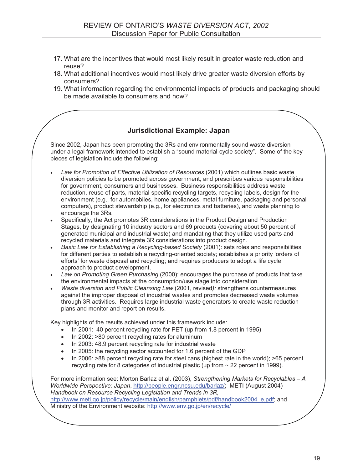- 17. What are the incentives that would most likely result in greater waste reduction and reuse?
- 18. What additional incentives would most likely drive greater waste diversion efforts by consumers?
- 19. What information regarding the environmental impacts of products and packaging should be made available to consumers and how?

### **Jurisdictional Example: Japan**

Since 2002, Japan has been promoting the 3Rs and environmentally sound waste diversion under a legal framework intended to establish a "sound material-cycle society". Some of the key pieces of legislation include the following:

- *Law for Promotion of Effective Utilization of Resources* (2001) which outlines basic waste diversion policies to be promoted across government, and prescribes various responsibilities for government, consumers and businesses. Business responsibilities address waste reduction, reuse of parts, material-specific recycling targets, recycling labels, design for the environment (e.g., for automobiles, home appliances, metal furniture, packaging and personal computers), product stewardship (e.g., for electronics and batteries), and waste planning to encourage the 3Rs.

- - Specifically, the Act promotes 3R considerations in the Product Design and Production Stages, by designating 10 industry sectors and 69 products (covering about 50 percent of generated municipal and industrial waste) and mandating that they utilize used parts and recycled materials and integrate 3R considerations into product design.
- - *Basic Law for Establishing a Recycling-based Society* (2001): sets roles and responsibilities for different parties to establish a recycling-oriented society; establishes a priority 'orders of efforts' for waste disposal and recycling; and requires producers to adopt a life cycle approach to product development.
- - *Law on Promoting Green Purchasing* (2000): encourages the purchase of products that take the environmental impacts at the consumption/use stage into consideration.
- - *Waste diversion and Public Cleansing Law* (2001, revised*):* strengthens countermeasures against the improper disposal of industrial wastes and promotes decreased waste volumes through 3R activities. Requires large industrial waste generators to create waste reduction plans and monitor and report on results.

Key highlights of the results achieved under this framework include:

- $\bullet$ In 2001: 40 percent recycling rate for PET (up from 1.8 percent in 1995)
- -In 2002: >80 percent recycling rates for aluminum
- In 2003: 48.9 percent recycling rate for industrial waste
- -In 2005: the recycling sector accounted for 1.6 percent of the GDP
- - In 2006: >88 percent recycling rate for steel cans (highest rate in the world); >65 percent recycling rate for 8 categories of industrial plastic (up from ~ 22 percent in 1999).

For more information see: Morton Barlaz et al. (2003), *Strengthening Markets for Recyclables – A Worldwide Perspective: Japan*, http://people.engr.ncsu.edu/barlaz/; METI (August 2004) *Handbook on Resource Recycling Legislation and Trends in 3R,*  http://www.meti.go.jp/policy/recycle/main/english/pamphlets/pdf/handbook2004\_e.pdf; and

Ministry of the Environment website: http://www.env.go.jp/en/recycle/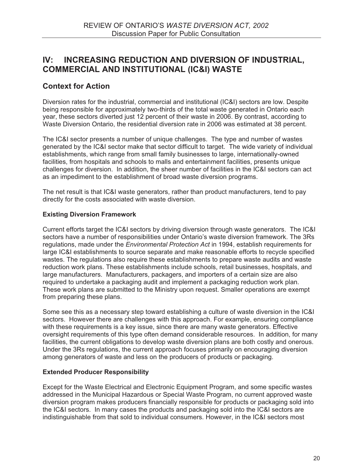### **IV: INCREASING REDUCTION AND DIVERSION OF INDUSTRIAL, COMMERCIAL AND INSTITUTIONAL (IC&I) WASTE**

### **Context for Action**

Diversion rates for the industrial, commercial and institutional (IC&I) sectors are low. Despite being responsible for approximately two-thirds of the total waste generated in Ontario each year, these sectors diverted just 12 percent of their waste in 2006. By contrast, according to Waste Diversion Ontario, the residential diversion rate in 2006 was estimated at 38 percent.

The IC&I sector presents a number of unique challenges. The type and number of wastes generated by the IC&I sector make that sector difficult to target. The wide variety of individual establishments, which range from small family businesses to large, internationally-owned facilities, from hospitals and schools to malls and entertainment facilities, presents unique challenges for diversion. In addition, the sheer number of facilities in the IC&I sectors can act as an impediment to the establishment of broad waste diversion programs.

The net result is that IC&I waste generators, rather than product manufacturers, tend to pay directly for the costs associated with waste diversion.

### **Existing Diversion Framework**

Current efforts target the IC&I sectors by driving diversion through waste generators. The IC&I sectors have a number of responsibilities under Ontario's waste diversion framework. The 3Rs regulations, made under the *Environmental Protection Act* in 1994, establish requirements for large IC&I establishments to source separate and make reasonable efforts to recycle specified wastes. The regulations also require these establishments to prepare waste audits and waste reduction work plans. These establishments include schools, retail businesses, hospitals, and large manufacturers. Manufacturers, packagers, and importers of a certain size are also required to undertake a packaging audit and implement a packaging reduction work plan. These work plans are submitted to the Ministry upon request. Smaller operations are exempt from preparing these plans.

Some see this as a necessary step toward establishing a culture of waste diversion in the IC&I sectors. However there are challenges with this approach. For example, ensuring compliance with these requirements is a key issue, since there are many waste generators. Effective oversight requirements of this type often demand considerable resources. In addition, for many facilities, the current obligations to develop waste diversion plans are both costly and onerous. Under the 3Rs regulations, the current approach focuses primarily on encouraging diversion among generators of waste and less on the producers of products or packaging.

### **Extended Producer Responsibility**

Except for the Waste Electrical and Electronic Equipment Program, and some specific wastes addressed in the Municipal Hazardous or Special Waste Program, no current approved waste diversion program makes producers financially responsible for products or packaging sold into the IC&I sectors. In many cases the products and packaging sold into the IC&I sectors are indistinguishable from that sold to individual consumers. However, in the IC&I sectors most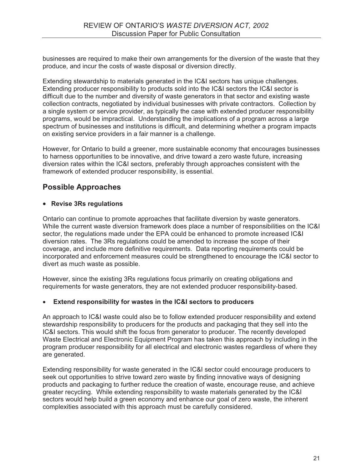businesses are required to make their own arrangements for the diversion of the waste that they produce, and incur the costs of waste disposal or diversion directly.

Extending stewardship to materials generated in the IC&I sectors has unique challenges. Extending producer responsibility to products sold into the IC&I sectors the IC&I sector is difficult due to the number and diversity of waste generators in that sector and existing waste collection contracts, negotiated by individual businesses with private contractors. Collection by a single system or service provider, as typically the case with extended producer responsibility programs, would be impractical. Understanding the implications of a program across a large spectrum of businesses and institutions is difficult, and determining whether a program impacts on existing service providers in a fair manner is a challenge.

However, for Ontario to build a greener, more sustainable economy that encourages businesses to harness opportunities to be innovative, and drive toward a zero waste future, increasing diversion rates within the IC&I sectors, preferably through approaches consistent with the framework of extended producer responsibility, is essential.

### **Possible Approaches**

### - **Revise 3Rs regulations**

Ontario can continue to promote approaches that facilitate diversion by waste generators. While the current waste diversion framework does place a number of responsibilities on the IC&I sector, the regulations made under the EPA could be enhanced to promote increased IC&I diversion rates. The 3Rs regulations could be amended to increase the scope of their coverage, and include more definitive requirements. Data reporting requirements could be incorporated and enforcement measures could be strengthened to encourage the IC&I sector to divert as much waste as possible.

However, since the existing 3Rs regulations focus primarily on creating obligations and requirements for waste generators, they are not extended producer responsibility-based.

### -**Extend responsibility for wastes in the IC&I sectors to producers**

An approach to IC&I waste could also be to follow extended producer responsibility and extend stewardship responsibility to producers for the products and packaging that they sell into the IC&I sectors. This would shift the focus from generator to producer. The recently developed Waste Electrical and Electronic Equipment Program has taken this approach by including in the program producer responsibility for all electrical and electronic wastes regardless of where they are generated.

Extending responsibility for waste generated in the IC&I sector could encourage producers to seek out opportunities to strive toward zero waste by finding innovative ways of designing products and packaging to further reduce the creation of waste, encourage reuse, and achieve greater recycling. While extending responsibility to waste materials generated by the IC&I sectors would help build a green economy and enhance our goal of zero waste, the inherent complexities associated with this approach must be carefully considered.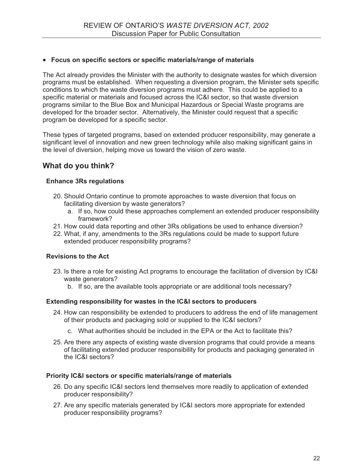### - **Focus on specific sectors or specific materials/range of materials**

The Act already provides the Minister with the authority to designate wastes for which diversion programs must be established. When requesting a diversion program, the Minister sets specific conditions to which the waste diversion programs must adhere. This could be applied to a specific material or materials and focused across the IC&I sector, so that waste diversion programs similar to the Blue Box and Municipal Hazardous or Special Waste programs are developed for the broader sector. Alternatively, the Minister could request that a specific program be developed for a specific sector.

These types of targeted programs, based on extended producer responsibility, may generate a significant level of innovation and new green technology while also making significant gains in the level of diversion, helping move us toward the vision of zero waste.

### **What do you think?**

### **Enhance 3Rs regulations**

- 20. Should Ontario continue to promote approaches to waste diversion that focus on facilitating diversion by waste generators?
	- a. If so, how could these approaches complement an extended producer responsibility framework?
- 21. How could data reporting and other 3Rs obligations be used to enhance diversion?
- 22. What, if any, amendments to the 3Rs regulations could be made to support future extended producer responsibility programs?

### **Revisions to the Act**

- 23. Is there a role for existing Act programs to encourage the facilitation of diversion by IC&I waste generators?
	- b. If so, are the available tools appropriate or are additional tools necessary?

### **Extending responsibility for wastes in the IC&I sectors to producers**

- 24. How can responsibility be extended to producers to address the end of life management of their products and packaging sold or supplied to the IC&I sectors?
	- c. What authorities should be included in the EPA or the Act to facilitate this?
- 25. Are there any aspects of existing waste diversion programs that could provide a means of facilitating extended producer responsibility for products and packaging generated in the IC&I sectors?

### **Priority IC&I sectors or specific materials/range of materials**

- 26. Do any specific IC&I sectors lend themselves more readily to application of extended producer responsibility?
- 27. Are any specific materials generated by IC&I sectors more appropriate for extended producer responsibility programs?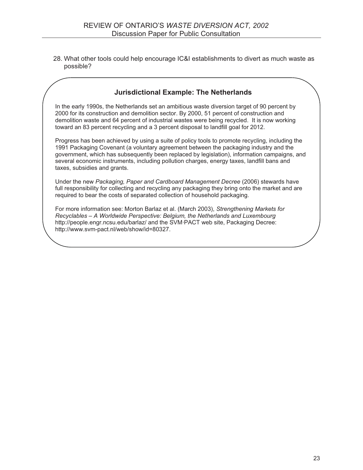28. What other tools could help encourage IC&I establishments to divert as much waste as possible?

### **Jurisdictional Example: The Netherlands**

In the early 1990s, the Netherlands set an ambitious waste diversion target of 90 percent by 2000 for its construction and demolition sector. By 2000, 51 percent of construction and demolition waste and 64 percent of industrial wastes were being recycled. It is now working toward an 83 percent recycling and a 3 percent disposal to landfill goal for 2012.

Progress has been achieved by using a suite of policy tools to promote recycling, including the 1991 Packaging Covenant (a voluntary agreement between the packaging industry and the government, which has subsequently been replaced by legislation), information campaigns, and several economic instruments, including pollution charges, energy taxes, landfill bans and taxes, subsidies and grants.

Under the new *Packaging, Paper and Cardboard Management Decree* (2006) stewards have full responsibility for collecting and recycling any packaging they bring onto the market and are required to bear the costs of separated collection of household packaging.

For more information see: Morton Barlaz et al. (March 2003), *Strengthening Markets for Recyclables – A Worldwide Perspective: Belgium, the Netherlands and Luxembourg* http://people.engr.ncsu.edu/barlaz/ and the SVM·PACT web site, Packaging Decree: http://www.svm-pact.nl/web/show/id=80327.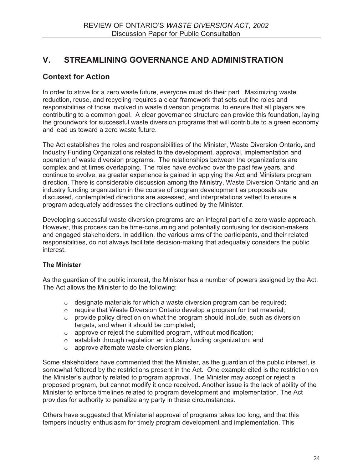### **V. STREAMLINING GOVERNANCE AND ADMINISTRATION**

### **Context for Action**

In order to strive for a zero waste future, everyone must do their part. Maximizing waste reduction, reuse, and recycling requires a clear framework that sets out the roles and responsibilities of those involved in waste diversion programs, to ensure that all players are contributing to a common goal. A clear governance structure can provide this foundation, laying the groundwork for successful waste diversion programs that will contribute to a green economy and lead us toward a zero waste future.

The Act establishes the roles and responsibilities of the Minister, Waste Diversion Ontario, and Industry Funding Organizations related to the development, approval, implementation and operation of waste diversion programs. The relationships between the organizations are complex and at times overlapping. The roles have evolved over the past few years, and continue to evolve, as greater experience is gained in applying the Act and Ministers program direction. There is considerable discussion among the Ministry, Waste Diversion Ontario and an industry funding organization in the course of program development as proposals are discussed, contemplated directions are assessed, and interpretations vetted to ensure a program adequately addresses the directions outlined by the Minister.

Developing successful waste diversion programs are an integral part of a zero waste approach. However, this process can be time-consuming and potentially confusing for decision-makers and engaged stakeholders. In addition, the various aims of the participants, and their related responsibilities, do not always facilitate decision-making that adequately considers the public interest.

### **The Minister**

As the guardian of the public interest, the Minister has a number of powers assigned by the Act. The Act allows the Minister to do the following:

- o designate materials for which a waste diversion program can be required;
- $\circ$  require that Waste Diversion Ontario develop a program for that material;
- $\circ$  provide policy direction on what the program should include, such as diversion targets, and when it should be completed;
- o approve or reject the submitted program, without modification;
- o establish through regulation an industry funding organization; and
- o approve alternate waste diversion plans.

Some stakeholders have commented that the Minister, as the guardian of the public interest, is somewhat fettered by the restrictions present in the Act. One example cited is the restriction on the Minister's authority related to program approval. The Minister may accept or reject a proposed program, but cannot modify it once received. Another issue is the lack of ability of the Minister to enforce timelines related to program development and implementation. The Act provides for authority to penalize any party in these circumstances.

Others have suggested that Ministerial approval of programs takes too long, and that this tempers industry enthusiasm for timely program development and implementation. This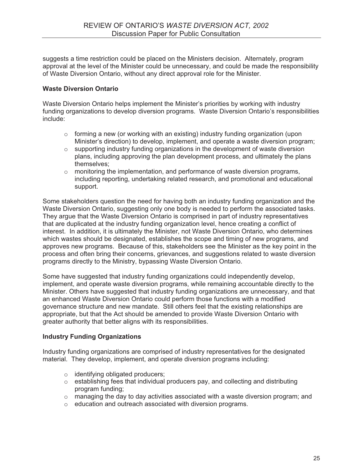suggests a time restriction could be placed on the Ministers decision. Alternately, program approval at the level of the Minister could be unnecessary, and could be made the responsibility of Waste Diversion Ontario, without any direct approval role for the Minister.

### **Waste Diversion Ontario**

Waste Diversion Ontario helps implement the Minister's priorities by working with industry funding organizations to develop diversion programs. Waste Diversion Ontario's responsibilities include:

- $\circ$  forming a new (or working with an existing) industry funding organization (upon Minister's direction) to develop, implement, and operate a waste diversion program;
- o supporting industry funding organizations in the development of waste diversion plans, including approving the plan development process, and ultimately the plans themselves;
- $\circ$  monitoring the implementation, and performance of waste diversion programs, including reporting, undertaking related research, and promotional and educational support.

Some stakeholders question the need for having both an industry funding organization and the Waste Diversion Ontario, suggesting only one body is needed to perform the associated tasks. They argue that the Waste Diversion Ontario is comprised in part of industry representatives that are duplicated at the industry funding organization level, hence creating a conflict of interest. In addition, it is ultimately the Minister, not Waste Diversion Ontario, who determines which wastes should be designated, establishes the scope and timing of new programs, and approves new programs. Because of this, stakeholders see the Minister as the key point in the process and often bring their concerns, grievances, and suggestions related to waste diversion programs directly to the Ministry, bypassing Waste Diversion Ontario.

Some have suggested that industry funding organizations could independently develop, implement, and operate waste diversion programs, while remaining accountable directly to the Minister. Others have suggested that industry funding organizations are unnecessary, and that an enhanced Waste Diversion Ontario could perform those functions with a modified governance structure and new mandate. Still others feel that the existing relationships are appropriate, but that the Act should be amended to provide Waste Diversion Ontario with greater authority that better aligns with its responsibilities.

### **Industry Funding Organizations**

Industry funding organizations are comprised of industry representatives for the designated material. They develop, implement, and operate diversion programs including:

- o identifying obligated producers;
- o establishing fees that individual producers pay, and collecting and distributing program funding;
- $\circ$  managing the day to day activities associated with a waste diversion program; and
- o education and outreach associated with diversion programs.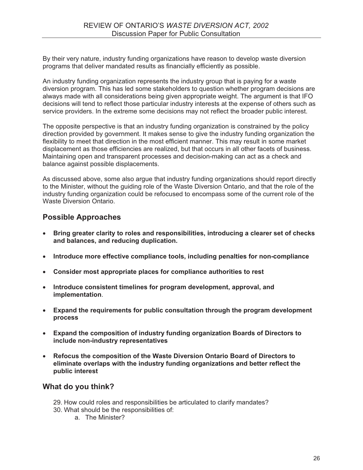By their very nature, industry funding organizations have reason to develop waste diversion programs that deliver mandated results as financially efficiently as possible.

An industry funding organization represents the industry group that is paying for a waste diversion program. This has led some stakeholders to question whether program decisions are always made with all considerations being given appropriate weight. The argument is that IFO decisions will tend to reflect those particular industry interests at the expense of others such as service providers. In the extreme some decisions may not reflect the broader public interest.

The opposite perspective is that an industry funding organization is constrained by the policy direction provided by government. It makes sense to give the industry funding organization the flexibility to meet that direction in the most efficient manner. This may result in some market displacement as those efficiencies are realized, but that occurs in all other facets of business. Maintaining open and transparent processes and decision-making can act as a check and balance against possible displacements.

As discussed above, some also argue that industry funding organizations should report directly to the Minister, without the guiding role of the Waste Diversion Ontario, and that the role of the industry funding organization could be refocused to encompass some of the current role of the Waste Diversion Ontario.

### **Possible Approaches**

- - **Bring greater clarity to roles and responsibilities, introducing a clearer set of checks and balances, and reducing duplication.**
- **Introduce more effective compliance tools, including penalties for non-compliance**
- **Consider most appropriate places for compliance authorities to rest**
- - **Introduce consistent timelines for program development, approval, and implementation**.
- **Expand the requirements for public consultation through the program development process**
- **Expand the composition of industry funding organization Boards of Directors to include non-industry representatives**
- $\bullet$  **Refocus the composition of the Waste Diversion Ontario Board of Directors to eliminate overlaps with the industry funding organizations and better reflect the public interest**

### **What do you think?**

- 29. How could roles and responsibilities be articulated to clarify mandates?
- 30. What should be the responsibilities of:
	- a. The Minister?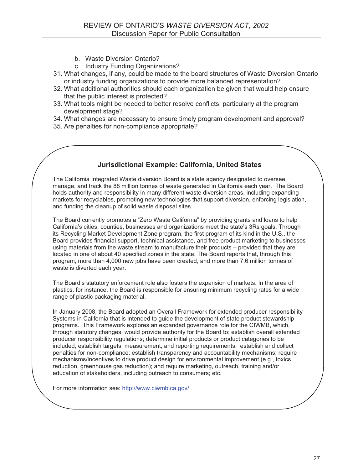- b. Waste Diversion Ontario?
- c. Industry Funding Organizations?
- 31. What changes, if any, could be made to the board structures of Waste Diversion Ontario or industry funding organizations to provide more balanced representation?
- 32. What additional authorities should each organization be given that would help ensure that the public interest is protected?
- 33. What tools might be needed to better resolve conflicts, particularly at the program development stage?
- 34. What changes are necessary to ensure timely program development and approval?
- 35. Are penalties for non-compliance appropriate?

### **Jurisdictional Example: California, United States**

The California Integrated Waste diversion Board is a state agency designated to oversee, manage, and track the 88 million tonnes of waste generated in California each year. The Board holds authority and responsibility in many different waste diversion areas, including expanding markets for recyclables, promoting new technologies that support diversion, enforcing legislation, and funding the cleanup of solid waste disposal sites.

The Board currently promotes a "Zero Waste California" by providing grants and loans to help California's cities, counties, businesses and organizations meet the state's 3Rs goals. Through its Recycling Market Development Zone program, the first program of its kind in the U.S., the Board provides financial support, technical assistance, and free product marketing to businesses using materials from the waste stream to manufacture their products – provided that they are located in one of about 40 specified zones in the state. The Board reports that, through this program, more than 4,000 new jobs have been created, and more than 7.6 million tonnes of waste is diverted each year.

The Board's statutory enforcement role also fosters the expansion of markets. In the area of plastics, for instance, the Board is responsible for ensuring minimum recycling rates for a wide range of plastic packaging material.

In January 2008, the Board adopted an Overall Framework for extended producer responsibility Systems in California that is intended to guide the development of state product stewardship programs. This Framework explores an expanded governance role for the CIWMB, which, through statutory changes, would provide authority for the Board to: establish overall extended producer responsibility regulations; determine initial products or product categories to be included; establish targets, measurement, and reporting requirements; establish and collect penalties for non-compliance; establish transparency and accountability mechanisms; require mechanisms/incentives to drive product design for environmental improvement (e.g., toxics reduction, greenhouse gas reduction); and require marketing, outreach, training and/or education of stakeholders, including outreach to consumers; etc.

For more information see: http://www.ciwmb.ca.gov/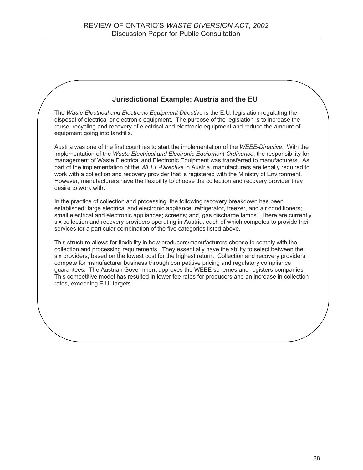### **Jurisdictional Example: Austria and the EU**

The *Waste Electrical and Electronic Equipment Directive* is the E.U. legislation regulating the disposal of electrical or electronic equipment. The purpose of the legislation is to increase the reuse, recycling and recovery of electrical and electronic equipment and reduce the amount of equipment going into landfills.

Austria was one of the first countries to start the implementation of the *WEEE-Directive*. With the implementation of the *Waste Electrical and Electronic Equipment Ordinance*, the responsibility for management of Waste Electrical and Electronic Equipment was transferred to manufacturers. As part of the implementation of the *WEEE-Directive* in Austria, manufacturers are legally required to work with a collection and recovery provider that is registered with the Ministry of Environment. However, manufacturers have the flexibility to choose the collection and recovery provider they desire to work with.

In the practice of collection and processing, the following recovery breakdown has been established: large electrical and electronic appliance; refrigerator, freezer, and air conditioners; small electrical and electronic appliances; screens; and, gas discharge lamps. There are currently six collection and recovery providers operating in Austria, each of which competes to provide their services for a particular combination of the five categories listed above.

This structure allows for flexibility in how producers/manufacturers choose to comply with the collection and processing requirements. They essentially have the ability to select between the six providers, based on the lowest cost for the highest return. Collection and recovery providers compete for manufacturer business through competitive pricing and regulatory compliance guarantees. The Austrian Government approves the WEEE schemes and registers companies. This competitive model has resulted in lower fee rates for producers and an increase in collection rates, exceeding E.U. targets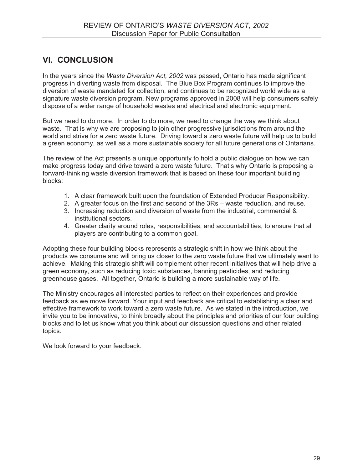### **VI. CONCLUSION**

In the years since the *Waste Diversion Act, 2002* was passed, Ontario has made significant progress in diverting waste from disposal. The Blue Box Program continues to improve the diversion of waste mandated for collection, and continues to be recognized world wide as a signature waste diversion program. New programs approved in 2008 will help consumers safely dispose of a wider range of household wastes and electrical and electronic equipment.

But we need to do more. In order to do more, we need to change the way we think about waste. That is why we are proposing to join other progressive jurisdictions from around the world and strive for a zero waste future. Driving toward a zero waste future will help us to build a green economy, as well as a more sustainable society for all future generations of Ontarians.

The review of the Act presents a unique opportunity to hold a public dialogue on how we can make progress today and drive toward a zero waste future. That's why Ontario is proposing a forward-thinking waste diversion framework that is based on these four important building blocks:

- 1. A clear framework built upon the foundation of Extended Producer Responsibility.
- 2. A greater focus on the first and second of the 3Rs waste reduction, and reuse.
- 3. Increasing reduction and diversion of waste from the industrial, commercial & institutional sectors.
- 4. Greater clarity around roles, responsibilities, and accountabilities, to ensure that all players are contributing to a common goal.

Adopting these four building blocks represents a strategic shift in how we think about the products we consume and will bring us closer to the zero waste future that we ultimately want to achieve. Making this strategic shift will complement other recent initiatives that will help drive a green economy, such as reducing toxic substances, banning pesticides, and reducing greenhouse gases. All together, Ontario is building a more sustainable way of life.

The Ministry encourages all interested parties to reflect on their experiences and provide feedback as we move forward. Your input and feedback are critical to establishing a clear and effective framework to work toward a zero waste future. As we stated in the introduction, we invite you to be innovative, to think broadly about the principles and priorities of our four building blocks and to let us know what you think about our discussion questions and other related topics.

We look forward to your feedback.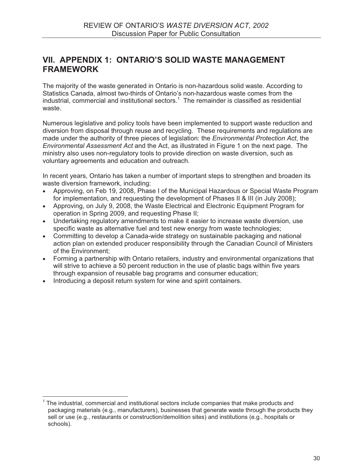### **VII. APPENDIX 1: ONTARIO'S SOLID WASTE MANAGEMENT FRAMEWORK**

The majority of the waste generated in Ontario is non-hazardous solid waste. According to Statistics Canada, almost two-thirds of Ontario's non-hazardous waste comes from the industrial, commercial and institutional sectors.<sup>1</sup> The remainder is classified as residential waste.

Numerous legislative and policy tools have been implemented to support waste reduction and diversion from disposal through reuse and recycling. These requirements and regulations are made under the authority of three pieces of legislation: the *Environmental Protection Act*, the *Environmental Assessment Act* and the Act, as illustrated in Figure 1 on the next page. The ministry also uses non-regulatory tools to provide direction on waste diversion, such as voluntary agreements and education and outreach.

In recent years, Ontario has taken a number of important steps to strengthen and broaden its waste diversion framework, including:

- - Approving, on Feb 19, 2008, Phase I of the Municipal Hazardous or Special Waste Program for implementation, and requesting the development of Phases II & III (in July 2008);
- Approving, on July 9, 2008, the Waste Electrical and Electronic Equipment Program for operation in Spring 2009, and requesting Phase II;
- Undertaking regulatory amendments to make it easier to increase waste diversion, use specific waste as alternative fuel and test new energy from waste technologies;
- Committing to develop a Canada-wide strategy on sustainable packaging and national action plan on extended producer responsibility through the Canadian Council of Ministers of the Environment;
- Forming a partnership with Ontario retailers, industry and environmental organizations that will strive to achieve a 50 percent reduction in the use of plastic bags within five years through expansion of reusable bag programs and consumer education;
- -Introducing a deposit return system for wine and spirit containers.

<sup>1</sup> The industrial, commercial and institutional sectors include companies that make products and packaging materials (e.g., manufacturers), businesses that generate waste through the products they sell or use (e.g., restaurants or construction/demolition sites) and institutions (e.g., hospitals or schools).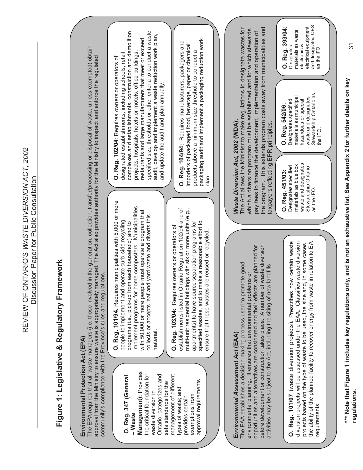REVIEW OF ONTARIO'S WASTE DIVERSION ACT, 2002 REVIEW OF ONTARIO'S *WASTE DIVERSION ACT, 2002*  Discussion Paper for Public Consultation Discussion Paper for Public Consultation

# **Figure 1: Legislative & Regulatory Framework**  Figure 1: Legislative & Regulatory Framework

## **Environmental Protection Act (EPA)**  Environmental Protection Act (EPA)

The EPA requires that all waste managers (i.e. those involved in the generation, collection, transfer/processing or disposal of waste, unless exempted) obtain<br>approval from the Ministry to ensure waste is appropriately man The EPA requires that all waste managers (i.e. those involved in the generation, collection, transfer/processing or disposal of waste, unless exempted) obtain approval from the Ministry to ensure waste is appropriately managed. The Act also provides authority for the Ministry to inspect and enforce the regulated community's compliance with the Province's rules and regulations. community's compliance with the Province's rules and regulations.

### **O. Reg. 347 (General**  O. Reg. 347 (General - Waste **– Waste**

Management): Provides **Management):** Provides the critical foundation for Ontario; categorizes and management of different the critical foundation for Ontario; categorizes and management of different approval requirements. sets standards for the approval requirements. sets standards for the types of waste; and types of waste; and waste diversion in waste diversion in exemptions from exemptions from provides certain provides certain

**O. Reg. 101/94***:* Requires municipalities with 5,000 or more O. Reg. 101/94: Requires municipalities with 5,000 or more implement programs for home composters. Municipalities implement programs for home composters. Municipalities with 50,000 or more people must operate a program that with 50,000 or more people must operate a program that collects or accepts leaf and yard waste and diverts this collects or accepts leaf and yard waste and diverts this people to implement and operate curb-side recycling people to implement and operate curb-side recycling programs (i.e., pick-up from each household) and to programs (i.e., pick-up from each household) and to material.

establishments listed in Ontario Regulation 102/94 and of multi-unit residential buildings with six or more units (e.g., establishments listed in Ontario Regulation 102/94 and of multi-unit residential buildings with six or more units (e.g., specified wastes, and to make a reasonable effort to apartments) to have source separation programs for specified wastes, and to make a reasonable effort to apartments) to have source separation programs for Reg. 103/04: Requires owners or operators of **O. Reg. 103/04:** Requires owners or operators of ensure that these wastes are reused or recycled. ensure that these wastes are reused or recycled.  $\overline{\overline{6}}$ 

specified size thresholds or other criteria to conduct a waste complexes and establishments, construction and demolition complexes and establishments, construction and demolition specified size thresholds or other criteria to conduct a waste audit, develop and implement a waste reduction work plan, audit, develop and implement a waste reduction work plan, restaurants and large manufacturers that meet or exceed restaurants and large manufacturers that meet or exceed projects, hospitals, hotels or motels, office buildings, projects, hospitals, hotels or motels, office buildings, designated establishments, including schools, retail designated establishments, including schools, retail **O. Reg. 102/04***:* Requires owners or operators of O. Reg. 102/04: Requires owners or operators of and update the audit and plan annually. and update the audit and plan annually.

packaging audit and implement a packaging reduction work packaging audit and implement a packaging reduction work O. Reg. 104/94: Requires manufacturers, packagers and **O. Reg. 104/94:** Requires manufacturers, packagers and importers of packaged food, beverage, paper or chemical importers of packaged food, beverage, paper or chemical products above a minimum size threshold to conduct a products above a minimum size threshold to conduct a plan.

# *Environmental Assessment Act* **(EAA)**  Environmental Assessment Act (EAA)

opportunities and alternatives are considered and their effects are planned for before development or construction takes place. A number of waste diversion before development or construction takes place. A number of waste diversion opportunities and alternatives are considered and their effects are planned for The EAA establishes a decision-making process used to promote good The EAA establishes a decision-making process used to promote good activities may be subject to the Act, including the siting of new landfills. activities may be subject to the Act, including the siting of new landfills. environmental planning. It ensures that environmental problems or environmental planning. It ensures that environmental problems or

**O. Reg. 101/07** (waste diversion projects): Prescribes how certain waste diversion projects will be assessed under the EAA. Classifies waste diversion projects based on the type of waste to be used, the size and, in some cases, the ability of the planned facility to recover energy from waste in relation to EA O. Reg. 101/07 (waste diversion projects): Prescribes how certain waste diversion projects will be assessed under the EAA. Classifies waste diversion projects based on the type of waste to be used, the size and, in some cases, the ability of the planned facility to recover energy from waste in relation to EA requirements. requirements.

### *Waste Diversion Act, 2002* **(WDA),**  Naste Diversion Act, 2002 (WDA),

the program. This extends program costs away from municipalities and The Act allows the Minister to make regulations to designate wastes for the program. This extends program costs away from municipalities and which a diversion program must be established and for which stewards The Act allows the Minister to make regulations to designate wastes for which a diversion program must be established and for which stewards pay fees to finance the development, implementation and operation of pay fees to finance the development, implementation and operation of taxpayers reflecting EPR principles. taxpayers reflecting EPR principles.

Stewardship Ontario as Stewardship Ontario as materials as municipal materials as municipal waste and designates waste and designates hazardous or special O. Reg. 542/06:<br>Designates specified Designates specified hazardous or special **O. Reg. 542/06**: the IFO. waste and designates waste and designates materials as blue box O. Reg. 451/03:<br>Designates specified Designates specified materials as blue box Stewardship Ontario<br>as the IFO. Stewardship Ontario

as the IFO.

**O. Reg. 451/03:**

and designated OES electrical equipment and designated OES O. Reg. 393/04: electrical equipment **O. Reg. 393/04:** materials as waste materials as waste **Designates** electronic & electronic & as the IFO. Designates as the IFO.

> **\*\*\* Note that Figure 1 includes key regulations only, and is not an exhaustive list. See Appendix 2 for further details on key**  \*\*\* Note that Figure 1 includes key regulations only, and is not an exhaustive list. See Appendix 2 for further details on key regulations. **regulations.**

31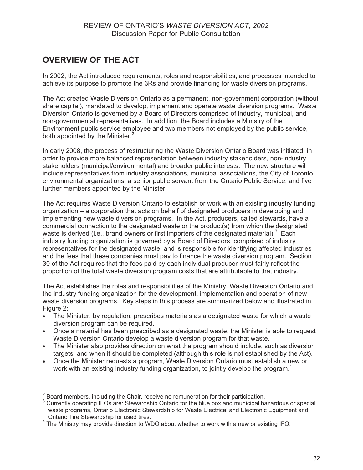### **OVERVIEW OF THE ACT**

In 2002, the Act introduced requirements, roles and responsibilities, and processes intended to achieve its purpose to promote the 3Rs and provide financing for waste diversion programs.

The Act created Waste Diversion Ontario as a permanent, non-government corporation (without share capital), mandated to develop, implement and operate waste diversion programs. Waste Diversion Ontario is governed by a Board of Directors comprised of industry, municipal, and non-governmental representatives. In addition, the Board includes a Ministry of the Environment public service employee and two members not employed by the public service, both appointed by the Minister.<sup>2</sup>

In early 2008, the process of restructuring the Waste Diversion Ontario Board was initiated, in order to provide more balanced representation between industry stakeholders, non-industry stakeholders (municipal/environmental) and broader public interests. The new structure will include representatives from industry associations, municipal associations, the City of Toronto, environmental organizations, a senior public servant from the Ontario Public Service, and five further members appointed by the Minister.

The Act requires Waste Diversion Ontario to establish or work with an existing industry funding organization – a corporation that acts on behalf of designated producers in developing and implementing new waste diversion programs. In the Act, producers, called stewards, have a commercial connection to the designated waste or the product(s) from which the designated waste is derived (i.e., brand owners or first importers of the designated material).<sup>3</sup> Each industry funding organization is governed by a Board of Directors, comprised of industry representatives for the designated waste, and is responsible for identifying affected industries and the fees that these companies must pay to finance the waste diversion program. Section 30 of the Act requires that the fees paid by each individual producer must fairly reflect the proportion of the total waste diversion program costs that are attributable to that industry.

The Act establishes the roles and responsibilities of the Ministry, Waste Diversion Ontario and the industry funding organization for the development, implementation and operation of new waste diversion programs. Key steps in this process are summarized below and illustrated in Figure 2:

- - The Minister, by regulation, prescribes materials as a designated waste for which a waste diversion program can be required.
- Once a material has been prescribed as a designated waste, the Minister is able to request Waste Diversion Ontario develop a waste diversion program for that waste.
- The Minister also provides direction on what the program should include, such as diversion targets, and when it should be completed (although this role is not established by the Act).
- Once the Minister requests a program, Waste Diversion Ontario must establish a new or work with an existing industry funding organization, to jointly develop the program.<sup>4</sup>

 $2^{2}$  Board members, including the Chair, receive no remuneration for their participation.

<sup>&</sup>lt;sup>3</sup> Currently operating IFOs are: Stewardship Ontario for the blue box and municipal hazardous or special waste programs, Ontario Electronic Stewardship for Waste Electrical and Electronic Equipment and

Ontario Tire Stewardship for used tires.<br><sup>4</sup> The Ministry may provide direction to WDO about whether to work with a new or existing IFO.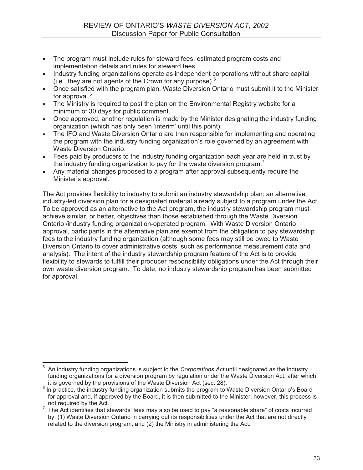- - The program must include rules for steward fees, estimated program costs and implementation details and rules for steward fees.
- - Industry funding organizations operate as independent corporations without share capital (i.e., they are not agents of the Crown for any purpose). $5$
- - Once satisfied with the program plan, Waste Diversion Ontario must submit it to the Minister for approval.<sup>6</sup>
- - The Ministry is required to post the plan on the Environmental Registry website for a minimum of 30 days for public comment.
- - Once approved, another regulation is made by the Minister designating the industry funding organization (which has only been 'interim' until this point).
- - The IFO and Waste Diversion Ontario are then responsible for implementing and operating the program with the industry funding organization's role governed by an agreement with Waste Diversion Ontario.
- - Fees paid by producers to the industry funding organization each year are held in trust by the industry funding organization to pay for the waste diversion program.<sup>7</sup>
- - Any material changes proposed to a program after approval subsequently require the Minister's approval.

The Act provides flexibility to industry to submit an industry stewardship plan: an alternative, industry-led diversion plan for a designated material already subject to a program under the Act. To be approved as an alternative to the Act program, the industry stewardship program must achieve similar, or better, objectives than those established through the Waste Diversion Ontario /industry funding organization-operated program. With Waste Diversion Ontario approval, participants in the alternative plan are exempt from the obligation to pay stewardship fees to the industry funding organization (although some fees may still be owed to Waste Diversion Ontario to cover administrative costs, such as performance measurement data and analysis). The intent of the industry stewardship program feature of the Act is to provide flexibility to stewards to fulfill their producer responsibility obligations under the Act through their own waste diversion program. To date, no industry stewardship program has been submitted for approval.

<sup>5</sup> An industry funding organizations is subject to the *Corporations Act* until designated as the industry funding organizations for a diversion program by regulation under the Waste Diversion Act, after which it is governed by the provisions of the Waste Diversion Act (sec. 28).

 $6$  In practice, the industry funding organization submits the program to Waste Diversion Ontario's Board for approval and, if approved by the Board, it is then submitted to the Minister; however, this process is

not required by the Act.<br><sup>7</sup> The Act identifies that stewards' fees may also be used to pay "a reasonable share" of costs incurred by: (1) Waste Diversion Ontario in carrying out its responsibilities under the Act that are not directly related to the diversion program; and (2) the Ministry in administering the Act.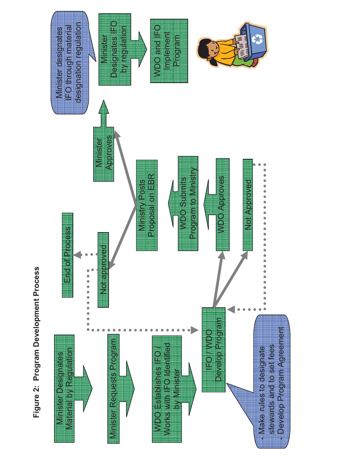

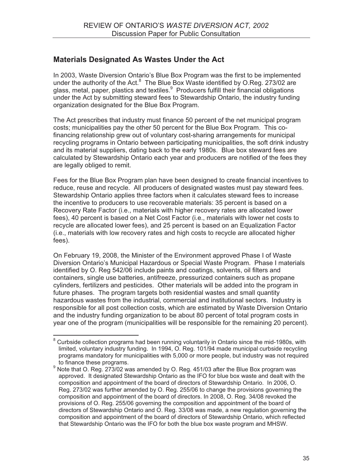### **Materials Designated As Wastes Under the Act**

In 2003, Waste Diversion Ontario's Blue Box Program was the first to be implemented under the authority of the Act. $8$  The Blue Box Waste identified by O.Reg. 273/02 are glass, metal, paper, plastics and textiles.<sup>9</sup> Producers fulfill their financial obligations under the Act by submitting steward fees to Stewardship Ontario, the industry funding organization designated for the Blue Box Program.

The Act prescribes that industry must finance 50 percent of the net municipal program costs; municipalities pay the other 50 percent for the Blue Box Program. This cofinancing relationship grew out of voluntary cost-sharing arrangements for municipal recycling programs in Ontario between participating municipalities, the soft drink industry and its material suppliers, dating back to the early 1980s. Blue box steward fees are calculated by Stewardship Ontario each year and producers are notified of the fees they are legally obliged to remit.

Fees for the Blue Box Program plan have been designed to create financial incentives to reduce, reuse and recycle. All producers of designated wastes must pay steward fees. Stewardship Ontario applies three factors when it calculates steward fees to increase the incentive to producers to use recoverable materials: 35 percent is based on a Recovery Rate Factor (i.e., materials with higher recovery rates are allocated lower fees), 40 percent is based on a Net Cost Factor (i.e., materials with lower net costs to recycle are allocated lower fees), and 25 percent is based on an Equalization Factor (i.e., materials with low recovery rates and high costs to recycle are allocated higher fees).

On February 19, 2008, the Minister of the Environment approved Phase I of Waste Diversion Ontario's Municipal Hazardous or Special Waste Program. Phase I materials identified by O. Reg 542/06 include paints and coatings, solvents, oil filters and containers, single use batteries, antifreeze, pressurized containers such as propane cylinders, fertilizers and pesticides. Other materials will be added into the program in future phases. The program targets both residential wastes and small quantity hazardous wastes from the industrial, commercial and institutional sectors. Industry is responsible for all post collection costs, which are estimated by Waste Diversion Ontario and the industry funding organization to be about 80 percent of total program costs in year one of the program (municipalities will be responsible for the remaining 20 percent).

 $8$  Curbside collection programs had been running voluntarily in Ontario since the mid-1980s, with limited, voluntary industry funding. In 1994, O. Reg. 101/94 made municipal curbside recycling programs mandatory for municipalities with 5,000 or more people, but industry was not required

<sup>&</sup>lt;sub>s</sub> to finance these programs.<br><sup>9</sup> Note that O. Reg. 273/02 was amended by O. Reg. 451/03 after the Blue Box program was approved. It designated Stewardship Ontario as the IFO for blue box waste and dealt with the composition and appointment of the board of directors of Stewardship Ontario. In 2006, O. Reg. 273/02 was further amended by O. Reg. 255/06 to change the provisions governing the composition and appointment of the board of directors. In 2008, O. Reg. 34/08 revoked the provisions of O. Reg. 255/06 governing the composition and appointment of the board of directors of Stewardship Ontario and O. Reg. 33/08 was made, a new regulation governing the composition and appointment of the board of directors of Stewardship Ontario, which reflected that Stewardship Ontario was the IFO for both the blue box waste program and MHSW.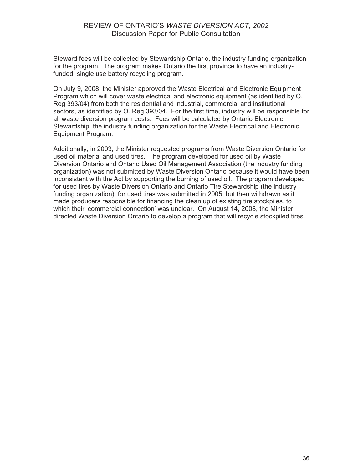Steward fees will be collected by Stewardship Ontario, the industry funding organization for the program. The program makes Ontario the first province to have an industryfunded, single use battery recycling program.

On July 9, 2008, the Minister approved the Waste Electrical and Electronic Equipment Program which will cover waste electrical and electronic equipment (as identified by O. Reg 393/04) from both the residential and industrial, commercial and institutional sectors, as identified by O. Reg 393/04. For the first time, industry will be responsible for all waste diversion program costs. Fees will be calculated by Ontario Electronic Stewardship, the industry funding organization for the Waste Electrical and Electronic Equipment Program.

Additionally, in 2003, the Minister requested programs from Waste Diversion Ontario for used oil material and used tires. The program developed for used oil by Waste Diversion Ontario and Ontario Used Oil Management Association (the industry funding organization) was not submitted by Waste Diversion Ontario because it would have been inconsistent with the Act by supporting the burning of used oil. The program developed for used tires by Waste Diversion Ontario and Ontario Tire Stewardship (the industry funding organization), for used tires was submitted in 2005, but then withdrawn as it made producers responsible for financing the clean up of existing tire stockpiles, to which their 'commercial connection' was unclear. On August 14, 2008, the Minister directed Waste Diversion Ontario to develop a program that will recycle stockpiled tires.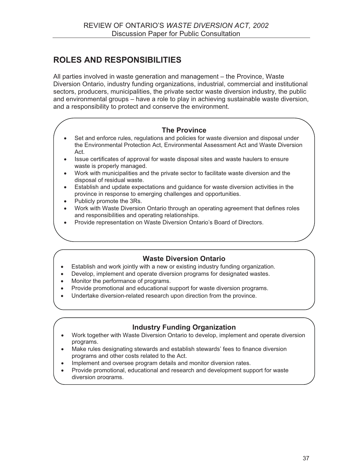### **ROLES AND RESPONSIBILITIES**

All parties involved in waste generation and management – the Province, Waste Diversion Ontario, industry funding organizations, industrial, commercial and institutional sectors, producers, municipalities, the private sector waste diversion industry, the public and environmental groups – have a role to play in achieving sustainable waste diversion, and a responsibility to protect and conserve the environment.

### **The Province**

- - Set and enforce rules, regulations and policies for waste diversion and disposal under the Environmental Protection Act, Environmental Assessment Act and Waste Diversion Act.
- - Issue certificates of approval for waste disposal sites and waste haulers to ensure waste is properly managed.
- - Work with municipalities and the private sector to facilitate waste diversion and the disposal of residual waste.
- - Establish and update expectations and guidance for waste diversion activities in the province in response to emerging challenges and opportunities.
- Publicly promote the 3Rs.
- - Work with Waste Diversion Ontario through an operating agreement that defines roles and responsibilities and operating relationships.
- -Provide representation on Waste Diversion Ontario's Board of Directors.

### **Waste Diversion Ontario**

- -Establish and work jointly with a new or existing industry funding organization.
- -Develop, implement and operate diversion programs for designated wastes.
- -Monitor the performance of programs.
- -Provide promotional and educational support for waste diversion programs.
- -Undertake diversion-related research upon direction from the province.

### **Industry Funding Organization**

- - Work together with Waste Diversion Ontario to develop, implement and operate diversion programs.
- - Make rules designating stewards and establish stewards' fees to finance diversion programs and other costs related to the Act.
- -Implement and oversee program details and monitor diversion rates.
- - Provide promotional, educational and research and development support for waste diversion programs.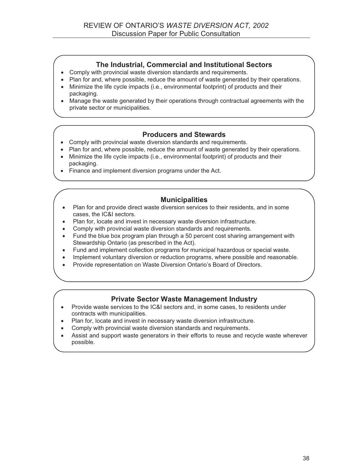### **The Industrial, Commercial and Institutional Sectors**

- -Comply with provincial waste diversion standards and requirements.
- -Plan for and, where possible, reduce the amount of waste generated by their operations.
- - Minimize the life cycle impacts (i.e., environmental footprint) of products and their packaging.
- Manage the waste generated by their operations through contractual agreements with the private sector or municipalities.

### **Producers and Stewards**

- Comply with provincial waste diversion standards and requirements.
- Plan for and, where possible, reduce the amount of waste generated by their operations.
- - Minimize the life cycle impacts (i.e., environmental footprint) of products and their packaging.
- Finance and implement diversion programs under the Act.

### **Municipalities**

- - Plan for and provide direct waste diversion services to their residents, and in some cases, the IC&I sectors.
- -Plan for, locate and invest in necessary waste diversion infrastructure.
- -Comply with provincial waste diversion standards and requirements.
- - Fund the blue box program plan through a 50 percent cost sharing arrangement with Stewardship Ontario (as prescribed in the Act).
- $\bullet$ Fund and implement collection programs for municipal hazardous or special waste.
- -Implement voluntary diversion or reduction programs, where possible and reasonable.
- -Provide representation on Waste Diversion Ontario's Board of Directors.

### **Private Sector Waste Management Industry**

- - Provide waste services to the IC&I sectors and, in some cases, to residents under contracts with municipalities.
- -Plan for, locate and invest in necessary waste diversion infrastructure.
- -Comply with provincial waste diversion standards and requirements.
- - Assist and support waste generators in their efforts to reuse and recycle waste wherever possible.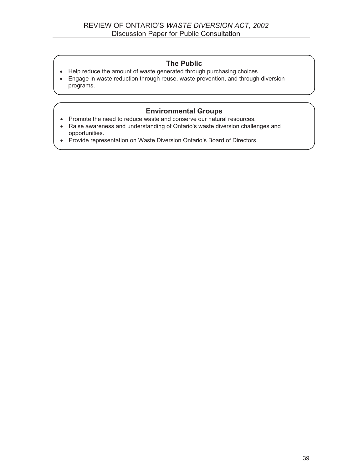### **The Public**

- Help reduce the amount of waste generated through purchasing choices.
- Engage in waste reduction through reuse, waste prevention, and through diversion programs.

### **Environmental Groups**

- Promote the need to reduce waste and conserve our natural resources.
- Raise awareness and understanding of Ontario's waste diversion challenges and opportunities.
- Provide representation on Waste Diversion Ontario's Board of Directors.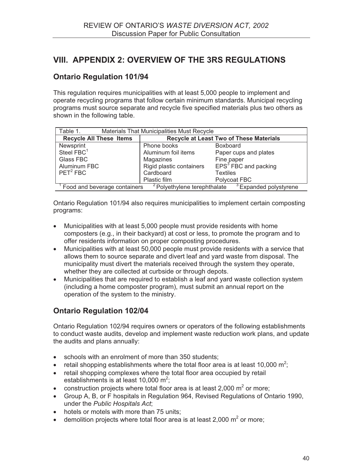### **VIII. APPENDIX 2: OVERVIEW OF THE 3RS REGULATIONS**

### **Ontario Regulation 101/94**

This regulation requires municipalities with at least 5,000 people to implement and operate recycling programs that follow certain minimum standards. Municipal recycling programs must source separate and recycle five specified materials plus two others as shown in the following table.

| Table 1.<br><b>Materials That Municipalities Must Recycle</b>                                                |                                                |                                  |  |  |  |  |  |
|--------------------------------------------------------------------------------------------------------------|------------------------------------------------|----------------------------------|--|--|--|--|--|
| <b>Recycle All These Items</b>                                                                               | <b>Recycle at Least Two of These Materials</b> |                                  |  |  |  |  |  |
| Newsprint                                                                                                    | Phone books                                    | <b>Boxboard</b>                  |  |  |  |  |  |
| Steel FBC <sup>1</sup>                                                                                       | Aluminum foil items                            | Paper cups and plates            |  |  |  |  |  |
| Glass FBC                                                                                                    | Magazines                                      | Fine paper                       |  |  |  |  |  |
| Aluminum FBC                                                                                                 | Rigid plastic containers                       | EPS <sup>3</sup> FBC and packing |  |  |  |  |  |
| $PET^2 FBC$                                                                                                  | Cardboard                                      | <b>Textiles</b>                  |  |  |  |  |  |
|                                                                                                              | Plastic film                                   | Polycoat FBC                     |  |  |  |  |  |
| <sup>2</sup> Polyethylene terephthalate<br><sup>3</sup> Expanded polystyrene<br>Food and beverage containers |                                                |                                  |  |  |  |  |  |

Ontario Regulation 101/94 also requires municipalities to implement certain composting programs:

- Municipalities with at least 5,000 people must provide residents with home composters (e.g., in their backyard) at cost or less, to promote the program and to offer residents information on proper composting procedures.
- Municipalities with at least 50,000 people must provide residents with a service that allows them to source separate and divert leaf and yard waste from disposal. The municipality must divert the materials received through the system they operate, whether they are collected at curbside or through depots.
- Municipalities that are required to establish a leaf and yard waste collection system (including a home composter program), must submit an annual report on the operation of the system to the ministry.

### **Ontario Regulation 102/04**

Ontario Regulation 102/94 requires owners or operators of the following establishments to conduct waste audits, develop and implement waste reduction work plans, and update the audits and plans annually:

- schools with an enrolment of more than 350 students;
- retail shopping establishments where the total floor area is at least 10,000 m<sup>2</sup>;
- retail shopping complexes where the total floor area occupied by retail establishments is at least 10,000 m<sup>2</sup>;
- construction projects where total floor area is at least 2,000  $m^2$  or more;
- Group A, B, or F hospitals in Regulation 964, Revised Regulations of Ontario 1990, under the *Public Hospitals Act*;
- hotels or motels with more than 75 units;
- demolition projects where total floor area is at least 2,000  $m^2$  or more;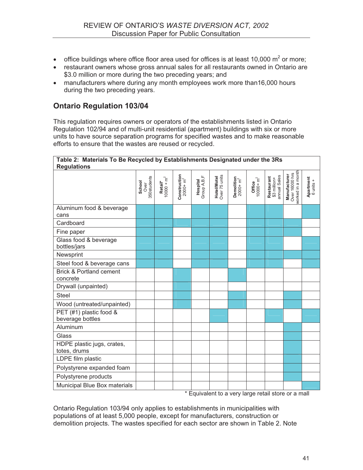- office buildings where office floor area used for offices is at least 10,000  $m^2$  or more;
- restaurant owners whose gross annual sales for all restaurants owned in Ontario are \$3.0 million or more during the two preceding years; and
- manufacturers where during any month employees work more than16,000 hours during the two preceding years.

### **Ontario Regulation 103/04**

This regulation requires owners or operators of the establishments listed in Ontario Regulation 102/94 and of multi-unit residential (apartment) buildings with six or more units to have source separation programs for specified wastes and to make reasonable efforts to ensure that the wastes are reused or recycled.

| <b>Regulations</b>                             |                               |                          |                            |                           |                              |                          |                        |                                            |                                                     |                               |
|------------------------------------------------|-------------------------------|--------------------------|----------------------------|---------------------------|------------------------------|--------------------------|------------------------|--------------------------------------------|-----------------------------------------------------|-------------------------------|
|                                                | 350students<br>School<br>Over | Retail*<br>$10000 + m^2$ | Construction<br>$2000+m^2$ | Hospital<br>Group A, B, F | Hotel/Motel<br>Over 75 units | Demolition<br>$2000+m^2$ | $10000 + m2$<br>Office | annual Sales<br>Restaurant<br>\$3 million+ | worked in a month<br>Over 16000 hrs<br>Manufacturer | <b>Apartment</b><br>6 units + |
| Aluminum food & beverage                       |                               |                          |                            |                           |                              |                          |                        |                                            |                                                     |                               |
| cans                                           |                               |                          |                            |                           |                              |                          |                        |                                            |                                                     |                               |
| Cardboard                                      |                               |                          |                            |                           |                              |                          |                        |                                            |                                                     |                               |
| Fine paper                                     |                               |                          |                            |                           |                              |                          |                        |                                            |                                                     |                               |
| Glass food & beverage<br>bottles/jars          |                               |                          |                            |                           |                              |                          |                        |                                            |                                                     |                               |
| Newsprint                                      |                               |                          |                            |                           |                              |                          |                        |                                            |                                                     |                               |
| Steel food & beverage cans                     |                               |                          |                            |                           |                              |                          |                        |                                            |                                                     |                               |
| <b>Brick &amp; Portland cement</b><br>concrete |                               |                          |                            |                           |                              |                          |                        |                                            |                                                     |                               |
| Drywall (unpainted)                            |                               |                          |                            |                           |                              |                          |                        |                                            |                                                     |                               |
| <b>Steel</b>                                   |                               |                          |                            |                           |                              |                          |                        |                                            |                                                     |                               |
| Wood (untreated/unpainted)                     |                               |                          |                            |                           |                              |                          |                        |                                            |                                                     |                               |
| PET (#1) plastic food &<br>beverage bottles    |                               |                          |                            |                           |                              |                          |                        |                                            |                                                     |                               |
| Aluminum                                       |                               |                          |                            |                           |                              |                          |                        |                                            |                                                     |                               |
| Glass                                          |                               |                          |                            |                           |                              |                          |                        |                                            |                                                     |                               |
| HDPE plastic jugs, crates,<br>totes, drums     |                               |                          |                            |                           |                              |                          |                        |                                            |                                                     |                               |
| LDPE film plastic                              |                               |                          |                            |                           |                              |                          |                        |                                            |                                                     |                               |
| Polystyrene expanded foam                      |                               |                          |                            |                           |                              |                          |                        |                                            |                                                     |                               |
| Polystyrene products                           |                               |                          |                            |                           |                              |                          |                        |                                            |                                                     |                               |
| Municipal Blue Box materials                   |                               |                          |                            |                           |                              |                          |                        |                                            |                                                     |                               |

**Table 2: Materials To Be Recycled by Establishments Designated under the 3Rs** 

\* Equivalent to a very large retail store or a mall

Ontario Regulation 103/94 only applies to establishments in municipalities with populations of at least 5,000 people, except for manufacturers, construction or demolition projects. The wastes specified for each sector are shown in Table 2. Note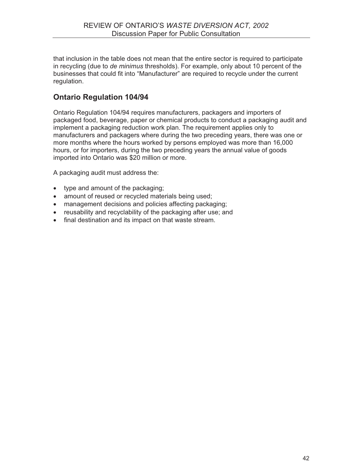that inclusion in the table does not mean that the entire sector is required to participate in recycling (due to *de minimus* thresholds). For example, only about 10 percent of the businesses that could fit into "Manufacturer" are required to recycle under the current regulation.

### **Ontario Regulation 104/94**

Ontario Regulation 104/94 requires manufacturers, packagers and importers of packaged food, beverage, paper or chemical products to conduct a packaging audit and implement a packaging reduction work plan. The requirement applies only to manufacturers and packagers where during the two preceding years, there was one or more months where the hours worked by persons employed was more than 16,000 hours, or for importers, during the two preceding years the annual value of goods imported into Ontario was \$20 million or more.

A packaging audit must address the:

- type and amount of the packaging;
- amount of reused or recycled materials being used;
- management decisions and policies affecting packaging;
- reusability and recyclability of the packaging after use; and
- final destination and its impact on that waste stream.